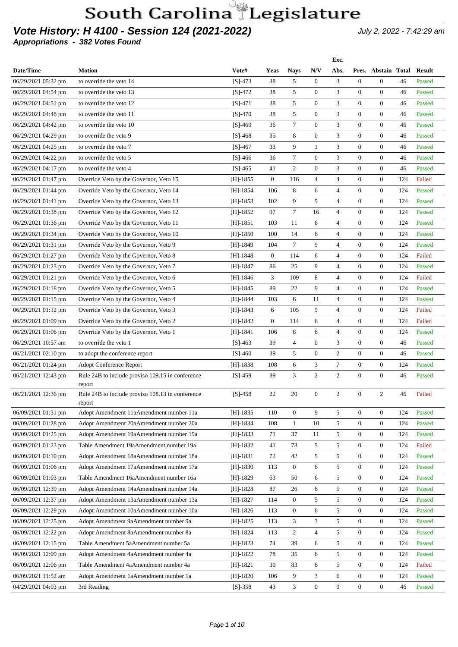### **Vote History: H 4100 - Session 124 (2021-2022)** July 2, 2022 - 7:42:29 am

**Appropriations - 382 Votes Found**

|                       |                                                  |            |                |                  |                         | Exc.           |                  |                     |     |               |
|-----------------------|--------------------------------------------------|------------|----------------|------------------|-------------------------|----------------|------------------|---------------------|-----|---------------|
| Date/Time             | <b>Motion</b>                                    | Vote#      | Yeas           | <b>Nays</b>      | N/V                     | Abs.           |                  | Pres. Abstain Total |     | <b>Result</b> |
| 06/29/2021 05:32 pm   | to override the veto 14                          | $[S]-473$  | 38             | 5                | $\mathbf{0}$            | 3              | $\overline{0}$   | $\mathbf{0}$        | 46  | Passed        |
| 06/29/2021 04:54 pm   | to override the veto 13                          | $[S]-472$  | 38             | 5                | $\mathbf{0}$            | 3              | $\overline{0}$   | $\mathbf{0}$        | 46  | Passed        |
| 06/29/2021 04:51 pm   | to override the veto 12                          | $[S]-471$  | 38             | 5                | $\mathbf{0}$            | 3              | $\overline{0}$   | $\boldsymbol{0}$    | 46  | Passed        |
| 06/29/2021 04:48 pm   | to override the veto 11                          | $[S]-470$  | 38             | 5                | $\mathbf{0}$            | 3              | $\overline{0}$   | $\boldsymbol{0}$    | 46  | Passed        |
| 06/29/2021 04:42 pm   | to override the veto 10                          | $[S]-469$  | 36             | $\tau$           | $\boldsymbol{0}$        | 3              | $\mathbf{0}$     | $\overline{0}$      | 46  | Passed        |
| 06/29/2021 04:29 pm   | to override the veto 9                           | $[S]-468$  | 35             | 8                | $\mathbf{0}$            | 3              | $\overline{0}$   | $\mathbf{0}$        | 46  | Passed        |
| 06/29/2021 04:25 pm   | to override the veto 7                           | $[S]-467$  | 33             | 9                | $\mathbf{1}$            | 3              | $\overline{0}$   | $\mathbf{0}$        | 46  | Passed        |
| 06/29/2021 04:22 pm   | to override the veto 5                           | $[S]-466$  | 36             | 7                | $\boldsymbol{0}$        | 3              | $\overline{0}$   | $\mathbf{0}$        | 46  | Passed        |
| 06/29/2021 04:17 pm   | to override the veto 4                           | $[S]-465$  | 41             | 2                | $\mathbf{0}$            | 3              | $\mathbf{0}$     | $\mathbf{0}$        | 46  | Passed        |
| 06/29/2021 01:47 pm   | Override Veto by the Governor, Veto 15           | $[H]-1855$ | $\overline{0}$ | 116              | $\overline{4}$          | 4              | 0                | $\boldsymbol{0}$    | 124 | Failed        |
| 06/29/2021 01:44 pm   | Override Veto by the Governor, Veto 14           | $[H]-1854$ | 106            | 8                | 6                       | $\overline{4}$ | $\overline{0}$   | $\overline{0}$      | 124 | Passed        |
| 06/29/2021 01:41 pm   | Override Veto by the Governor, Veto 13           | $[H]-1853$ | 102            | 9                | 9                       | $\overline{4}$ | $\mathbf{0}$     | $\overline{0}$      | 124 | Passed        |
| 06/29/2021 01:38 pm   | Override Veto by the Governor, Veto 12           | $[H]-1852$ | 97             | $\tau$           | 16                      | $\overline{4}$ | $\overline{0}$   | $\overline{0}$      | 124 | Passed        |
| 06/29/2021 01:36 pm   | Override Veto by the Governor, Veto 11           | $[H]-1851$ | 103            | 11               | 6                       | $\overline{4}$ | $\overline{0}$   | $\mathbf{0}$        | 124 | Passed        |
| 06/29/2021 01:34 pm   | Override Veto by the Governor, Veto 10           | $[H]-1850$ | 100            | 14               | 6                       | 4              | $\mathbf{0}$     | $\overline{0}$      | 124 | Passed        |
| 06/29/2021 01:31 pm   | Override Veto by the Governor, Veto 9            | [H]-1849   | 104            | $\tau$           | 9                       | 4              | $\mathbf{0}$     | $\overline{0}$      | 124 | Passed        |
| 06/29/2021 01:27 pm   | Override Veto by the Governor, Veto 8            | $[H]-1848$ | $\overline{0}$ | 114              | 6                       | $\overline{4}$ | $\overline{0}$   | $\overline{0}$      | 124 | Failed        |
| 06/29/2021 01:23 pm   | Override Veto by the Governor, Veto 7            | $[H]-1847$ | 86             | 25               | 9                       | $\overline{4}$ | $\mathbf{0}$     | $\mathbf{0}$        | 124 | Passed        |
| 06/29/2021 01:21 pm   | Override Veto by the Governor, Veto 6            | $[H]-1846$ | 3              | 109              | 8                       | $\overline{4}$ | $\overline{0}$   | $\overline{0}$      | 124 | Failed        |
| $06/29/2021$ 01:18 pm | Override Veto by the Governor, Veto 5            | [H]-1845   | 89             | 22               | 9                       | $\overline{4}$ | $\mathbf{0}$     | $\mathbf{0}$        | 124 | Passed        |
| 06/29/2021 01:15 pm   | Override Veto by the Governor, Veto 4            | $[H]-1844$ | 103            | 6                | 11                      | 4              | 0                | $\mathbf{0}$        | 124 | Passed        |
| 06/29/2021 01:12 pm   | Override Veto by the Governor, Veto 3            | $[H]-1843$ | 6              | 105              | 9                       | $\overline{4}$ | $\overline{0}$   | $\mathbf{0}$        | 124 | Failed        |
| 06/29/2021 01:09 pm   | Override Veto by the Governor, Veto 2            | [H]-1842   | $\overline{0}$ | 114              | 6                       | $\overline{4}$ | $\overline{0}$   | $\overline{0}$      | 124 | Failed        |
| 06/29/2021 01:06 pm   | Override Veto by the Governor, Veto 1            | $[H]-1841$ | 106            | 8                | 6                       | 4              | $\overline{0}$   | $\overline{0}$      | 124 | Passed        |
| 06/29/2021 10:57 am   | to override the veto 1                           | $[S]-463$  | 39             | $\overline{4}$   | $\boldsymbol{0}$        | 3              | $\overline{0}$   | $\mathbf{0}$        | 46  | Passed        |
| $06/21/2021$ 02:10 pm | to adopt the conference report                   | $[S]-460$  | 39             | 5                | $\mathbf{0}$            | $\overline{2}$ | $\overline{0}$   | $\mathbf{0}$        | 46  | Passed        |
| 06/21/2021 01:24 pm   | Adopt Conference Report                          | $[H]-1838$ | 108            | 6                | 3                       | $\tau$         | $\mathbf{0}$     | $\mathbf{0}$        | 124 | Passed        |
| 06/21/2021 12:43 pm   | Rule 24B to include proviso 109.15 in conference | $[S]-459$  | 39             | 3                | $\mathbf{2}$            | 2              | $\overline{0}$   | $\overline{0}$      | 46  | Passed        |
|                       | report                                           |            |                |                  |                         |                |                  |                     |     |               |
| 06/21/2021 12:36 pm   | Rule 24B to include proviso 108.13 in conference | $[S]-458$  | 22             | 20               | $\mathbf{0}$            | $\overline{c}$ | $\overline{0}$   | $\overline{c}$      | 46  | Failed        |
|                       | report                                           |            |                |                  |                         |                |                  |                     |     |               |
| 06/09/2021 01:31 pm   | Adopt Amendment 11aAmendment number 11a          | $[H]-1835$ | 110            | $\overline{0}$   | 9                       | 5              | $\overline{0}$   | $\overline{0}$      | 124 | Passed        |
| 06/09/2021 01:28 pm   | Adopt Amendment 20aAmendment number 20a          | $[H]-1834$ | 108            | $\mathbf{1}$     | 10                      | 5              | $\overline{0}$   | $\overline{0}$      | 124 | Passed        |
| 06/09/2021 01:25 pm   | Adopt Amendment 19aAmendment number 19a          | $[H]-1833$ | 71             | 37               | 11                      | 5              | $\overline{0}$   | $\overline{0}$      | 124 | Passed        |
| 06/09/2021 01:23 pm   | Table Amendment 19aAmendment number 19a          | $[H]-1832$ | 41             | 73               | 5                       | 5              | $\mathbf{0}$     | $\overline{0}$      | 124 | Failed        |
| 06/09/2021 01:10 pm   | Adopt Amendment 18aAmendment number 18a          | $[H]-1831$ | 72             | 42               | 5                       | 5              | 0                | $\overline{0}$      | 124 | Passed        |
| 06/09/2021 01:06 pm   | Adopt Amendment 17aAmendment number 17a          | $[H]-1830$ | 113            | $\boldsymbol{0}$ | 6                       | 5              | $\boldsymbol{0}$ | $\overline{0}$      | 124 | Passed        |
| 06/09/2021 01:03 pm   | Table Amendment 16aAmendment number 16a          | $[H]-1829$ | 63             | 50               | 6                       | 5              | $\mathbf{0}$     | $\boldsymbol{0}$    | 124 | Passed        |
| 06/09/2021 12:39 pm   | Adopt Amendment 14aAmendment number 14a          | $[H]-1828$ | 87             | 26               | 6                       | 5              | $\mathbf{0}$     | $\overline{0}$      | 124 | Passed        |
| 06/09/2021 12:37 pm   | Adopt Amendment 13aAmendment number 13a          | $[H]-1827$ | 114            | $\overline{0}$   | 5                       | 5              | $\mathbf{0}$     | $\overline{0}$      | 124 | Passed        |
| 06/09/2021 12:29 pm   | Adopt Amendment 10aAmendment number 10a          | $[H]-1826$ | 113            | $\overline{0}$   | 6                       | 5              | $\mathbf{0}$     | $\overline{0}$      | 124 | Passed        |
| 06/09/2021 12:25 pm   | Adopt Amendment 9aAmendment number 9a            | $[H]-1825$ | 113            | 3                | 3                       | 5              | $\overline{0}$   | $\overline{0}$      | 124 | Passed        |
| 06/09/2021 12:22 pm   | Adopt Amendment 8aAmendment number 8a            | $[H]-1824$ | 113            | $\overline{c}$   | $\overline{\mathbf{4}}$ | 5              | $\boldsymbol{0}$ | $\overline{0}$      | 124 | Passed        |
| 06/09/2021 12:15 pm   | Table Amendment 5aAmendment number 5a            | $[H]-1823$ | 74             | 39               | 6                       | 5              | $\mathbf{0}$     | $\boldsymbol{0}$    | 124 | Passed        |
| 06/09/2021 12:09 pm   | Adopt Amendment 4aAmendment number 4a            | $[H]-1822$ | 78             | 35               | 6                       | 5              | $\boldsymbol{0}$ | $\overline{0}$      | 124 | Passed        |
| 06/09/2021 12:06 pm   | Table Amendment 4aAmendment number 4a            | $[H]-1821$ | 30             | 83               | 6                       | 5              | $\mathbf{0}$     | $\overline{0}$      | 124 | Failed        |
| 06/09/2021 11:52 am   | Adopt Amendment 1aAmendment number 1a            | $[H]-1820$ | 106            | 9                | 3                       | 6              | $\mathbf{0}$     | $\overline{0}$      | 124 | Passed        |
| 04/29/2021 04:03 pm   | 3rd Reading                                      | $[S]-358$  | 43             | 3                | $\boldsymbol{0}$        | $\overline{0}$ | $\boldsymbol{0}$ | $\overline{0}$      | 46  | Passed        |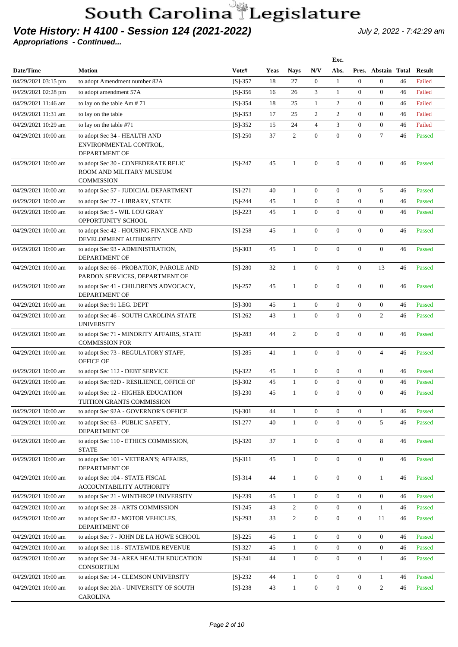#### **Vote History: H 4100 - Session 124 (2021-2022)** July 2, 2022 - 7:42:29 am

|                     |                                                                           |           |      |                |                  | Exc.             |                  |                     |    |               |
|---------------------|---------------------------------------------------------------------------|-----------|------|----------------|------------------|------------------|------------------|---------------------|----|---------------|
| Date/Time           | <b>Motion</b>                                                             | Vote#     | Yeas | <b>Nays</b>    | N/V              | Abs.             |                  | Pres. Abstain Total |    | <b>Result</b> |
| 04/29/2021 03:15 pm | to adopt Amendment number 82A                                             | $[S]-357$ | 18   | 27             | $\overline{0}$   | $\mathbf{1}$     | $\mathbf{0}$     | $\overline{0}$      | 46 | Failed        |
| 04/29/2021 02:28 pm | to adopt amendment 57A                                                    | $[S]-356$ | 16   | 26             | 3                | $\mathbf{1}$     | $\overline{0}$   | $\overline{0}$      | 46 | Failed        |
| 04/29/2021 11:46 am | to lay on the table $Am # 71$                                             | $[S]-354$ | 18   | 25             | $\mathbf{1}$     | $\overline{2}$   | $\overline{0}$   | $\overline{0}$      | 46 | Failed        |
| 04/29/2021 11:31 am | to lay on the table                                                       | $[S]-353$ | 17   | 25             | 2                | $\overline{c}$   | $\overline{0}$   | $\boldsymbol{0}$    | 46 | Failed        |
| 04/29/2021 10:29 am | to lay on the table #71                                                   | $[S]-352$ | 15   | 24             | $\overline{4}$   | 3                | $\boldsymbol{0}$ | $\mathbf{0}$        | 46 | Failed        |
| 04/29/2021 10:00 am | to adopt Sec 34 - HEALTH AND                                              | $[S]-250$ | 37   | $\mathbf{2}$   | $\overline{0}$   | $\mathbf{0}$     | $\boldsymbol{0}$ | $\tau$              | 46 | Passed        |
|                     | ENVIRONMENTAL CONTROL,<br><b>DEPARTMENT OF</b>                            |           |      |                |                  |                  |                  |                     |    |               |
| 04/29/2021 10:00 am | to adopt Sec 30 - CONFEDERATE RELIC<br>ROOM AND MILITARY MUSEUM           | $[S]-247$ | 45   | $\mathbf{1}$   | $\overline{0}$   | $\mathbf{0}$     | $\boldsymbol{0}$ | $\mathbf{0}$        | 46 | Passed        |
|                     | <b>COMMISSION</b>                                                         |           |      |                |                  |                  |                  |                     |    |               |
| 04/29/2021 10:00 am | to adopt Sec 57 - JUDICIAL DEPARTMENT                                     | $[S]-271$ | 40   | $\mathbf{1}$   | $\mathbf{0}$     | $\overline{0}$   | $\overline{0}$   | 5                   | 46 | Passed        |
| 04/29/2021 10:00 am | to adopt Sec 27 - LIBRARY, STATE                                          | $[S]-244$ | 45   | 1              | $\boldsymbol{0}$ | $\mathbf{0}$     | $\overline{0}$   | $\overline{0}$      | 46 | Passed        |
| 04/29/2021 10:00 am | to adopt Sec 5 - WIL LOU GRAY<br>OPPORTUNITY SCHOOL                       | $[S]-223$ | 45   | $\mathbf{1}$   | $\overline{0}$   | $\overline{0}$   | $\overline{0}$   | $\overline{0}$      | 46 | Passed        |
| 04/29/2021 10:00 am | to adopt Sec 42 - HOUSING FINANCE AND<br>DEVELOPMENT AUTHORITY            | $[S]-258$ | 45   | $\mathbf{1}$   | $\overline{0}$   | $\overline{0}$   | $\overline{0}$   | $\overline{0}$      | 46 | Passed        |
| 04/29/2021 10:00 am | to adopt Sec 93 - ADMINISTRATION,<br>DEPARTMENT OF                        | $[S]-303$ | 45   | $\mathbf{1}$   | $\overline{0}$   | $\overline{0}$   | $\overline{0}$   | $\overline{0}$      | 46 | Passed        |
| 04/29/2021 10:00 am | to adopt Sec 66 - PROBATION, PAROLE AND<br>PARDON SERVICES, DEPARTMENT OF | $[S]-280$ | 32   | $\mathbf{1}$   | $\overline{0}$   | $\overline{0}$   | $\overline{0}$   | 13                  | 46 | Passed        |
| 04/29/2021 10:00 am | to adopt Sec 41 - CHILDREN'S ADVOCACY,<br>DEPARTMENT OF                   | $[S]-257$ | 45   | $\mathbf{1}$   | $\mathbf{0}$     | $\mathbf{0}$     | $\overline{0}$   | $\overline{0}$      | 46 | Passed        |
| 04/29/2021 10:00 am | to adopt Sec 91 LEG. DEPT                                                 | $[S]-300$ | 45   | $\mathbf{1}$   | $\mathbf{0}$     | $\mathbf{0}$     | $\boldsymbol{0}$ | $\mathbf{0}$        | 46 | Passed        |
| 04/29/2021 10:00 am | to adopt Sec 46 - SOUTH CAROLINA STATE<br><b>UNIVERSITY</b>               | $[S]-262$ | 43   | $\mathbf{1}$   | $\boldsymbol{0}$ | $\mathbf{0}$     | $\overline{0}$   | $\overline{c}$      | 46 | Passed        |
| 04/29/2021 10:00 am | to adopt Sec 71 - MINORITY AFFAIRS, STATE<br><b>COMMISSION FOR</b>        | $[S]-283$ | 44   | $\overline{2}$ | $\boldsymbol{0}$ | $\mathbf{0}$     | $\boldsymbol{0}$ | $\mathbf{0}$        | 46 | Passed        |
| 04/29/2021 10:00 am | to adopt Sec 73 - REGULATORY STAFF,<br><b>OFFICE OF</b>                   | $[S]-285$ | 41   | $\mathbf{1}$   | $\boldsymbol{0}$ | $\mathbf{0}$     | $\boldsymbol{0}$ | $\overline{4}$      | 46 | Passed        |
| 04/29/2021 10:00 am | to adopt Sec 112 - DEBT SERVICE                                           | $[S]-322$ | 45   | $\mathbf{1}$   | $\overline{0}$   | $\mathbf{0}$     | $\overline{0}$   | $\mathbf{0}$        | 46 | Passed        |
| 04/29/2021 10:00 am | to adopt Sec 92D - RESILIENCE, OFFICE OF                                  | $[S]-302$ | 45   | $\mathbf{1}$   | $\mathbf{0}$     | $\boldsymbol{0}$ | $\boldsymbol{0}$ | $\mathbf{0}$        | 46 | Passed        |
| 04/29/2021 10:00 am | to adopt Sec 12 - HIGHER EDUCATION<br>TUITION GRANTS COMMISSION           | $[S]-230$ | 45   | $\mathbf{1}$   | $\overline{0}$   | $\mathbf{0}$     | $\overline{0}$   | $\mathbf{0}$        | 46 | Passed        |
| 04/29/2021 10:00 am | to adopt Sec 92A - GOVERNOR'S OFFICE                                      | $[S]-301$ | 44   | $\mathbf{1}$   | $\overline{0}$   | $\mathbf{0}$     | $\mathbf{0}$     | $\mathbf{1}$        | 46 | Passed        |
| 04/29/2021 10:00 am | to adopt Sec 63 - PUBLIC SAFETY,<br>DEPARTMENT OF                         | $[S]-277$ | 40   | $\mathbf{1}$   | $\mathbf{0}$     | $\boldsymbol{0}$ | $\boldsymbol{0}$ | 5                   | 46 | Passed        |
| 04/29/2021 10:00 am | to adopt Sec 110 - ETHICS COMMISSION,<br><b>STATE</b>                     | $[S]-320$ | 37   | $\mathbf{1}$   | $\boldsymbol{0}$ | $\boldsymbol{0}$ | $\boldsymbol{0}$ | 8                   | 46 | Passed        |
| 04/29/2021 10:00 am | to adopt Sec 101 - VETERAN'S; AFFAIRS,<br>DEPARTMENT OF                   | $[S]-311$ | 45   | $\mathbf{1}$   | $\mathbf{0}$     | $\boldsymbol{0}$ | $\boldsymbol{0}$ | $\boldsymbol{0}$    | 46 | Passed        |
| 04/29/2021 10:00 am | to adopt Sec 104 - STATE FISCAL<br>ACCOUNTABILITY AUTHORITY               | $[S]-314$ | 44   | $\mathbf{1}$   | $\mathbf{0}$     | $\boldsymbol{0}$ | $\boldsymbol{0}$ | $\mathbf{1}$        | 46 | Passed        |
| 04/29/2021 10:00 am | to adopt Sec 21 - WINTHROP UNIVERSITY                                     | $[S]-239$ | 45   | $\mathbf{1}$   | $\mathbf{0}$     | $\boldsymbol{0}$ | $\mathbf{0}$     | $\boldsymbol{0}$    | 46 | Passed        |
| 04/29/2021 10:00 am | to adopt Sec 28 - ARTS COMMISSION                                         | $[S]-245$ | 43   | $\sqrt{2}$     | $\mathbf{0}$     | $\boldsymbol{0}$ | $\boldsymbol{0}$ | $\mathbf{1}$        | 46 | Passed        |
| 04/29/2021 10:00 am | to adopt Sec 82 - MOTOR VEHICLES,<br>DEPARTMENT OF                        | $[S]-293$ | 33   | $\sqrt{2}$     | $\mathbf{0}$     | $\boldsymbol{0}$ | $\boldsymbol{0}$ | 11                  | 46 | Passed        |
| 04/29/2021 10:00 am | to adopt Sec 7 - JOHN DE LA HOWE SCHOOL                                   | $[S]-225$ | 45   | $\mathbf{1}$   | $\mathbf{0}$     | $\mathbf{0}$     | $\boldsymbol{0}$ | $\boldsymbol{0}$    | 46 | Passed        |
| 04/29/2021 10:00 am | to adopt Sec 118 - STATEWIDE REVENUE                                      | $[S]-327$ | 45   | $\mathbf{1}$   | $\mathbf{0}$     | $\boldsymbol{0}$ | $\boldsymbol{0}$ | $\boldsymbol{0}$    | 46 | Passed        |
| 04/29/2021 10:00 am | to adopt Sec 24 - AREA HEALTH EDUCATION<br>CONSORTIUM                     | $[S]-241$ | 44   | $\mathbf{1}$   | $\mathbf{0}$     | $\mathbf{0}$     | $\overline{0}$   | $\mathbf{1}$        | 46 | Passed        |
| 04/29/2021 10:00 am | to adopt Sec 14 - CLEMSON UNIVERSITY                                      | $[S]-232$ | 44   | $\mathbf{1}$   | $\overline{0}$   | $\mathbf{0}$     | $\overline{0}$   | $\mathbf{1}$        | 46 | Passed        |
| 04/29/2021 10:00 am | to adopt Sec 20A - UNIVERSITY OF SOUTH<br><b>CAROLINA</b>                 | $[S]-238$ | 43   | $\mathbf{1}$   | $\mathbf{0}$     | $\boldsymbol{0}$ | $\boldsymbol{0}$ | $\sqrt{2}$          | 46 | Passed        |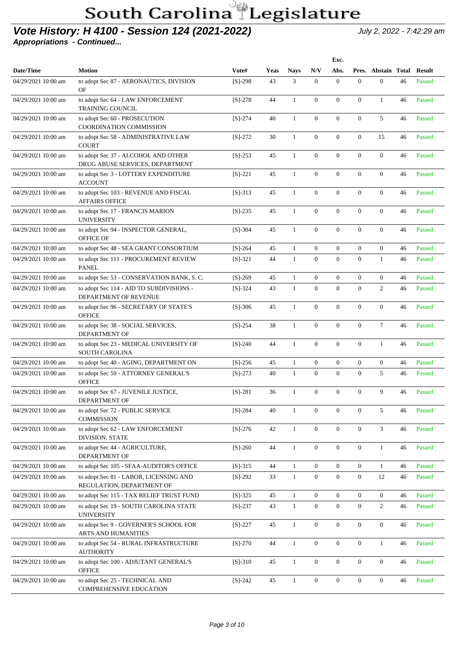### **Vote History: H 4100 - Session 124 (2021-2022)** July 2, 2022 - 7:42:29 am

|                     |                                                                        |           |             |              |                  | Exc.             |                  |                     |    |               |
|---------------------|------------------------------------------------------------------------|-----------|-------------|--------------|------------------|------------------|------------------|---------------------|----|---------------|
| Date/Time           | <b>Motion</b>                                                          | Vote#     | <b>Yeas</b> | <b>Nays</b>  | N/V              | Abs.             |                  | Pres. Abstain Total |    | <b>Result</b> |
| 04/29/2021 10:00 am | to adopt Sec 87 - AERONAUTICS, DIVISION<br>OF                          | $[S]-298$ | 43          | 3            | $\mathbf{0}$     | $\mathbf{0}$     | $\boldsymbol{0}$ | $\overline{0}$      | 46 | Passed        |
| 04/29/2021 10:00 am | to adopt Sec 64 - LAW ENFORCEMENT<br><b>TRAINING COUNCIL</b>           | $[S]-278$ | 44          | 1            | $\mathbf{0}$     | $\mathbf{0}$     | $\boldsymbol{0}$ | $\mathbf{1}$        | 46 | Passed        |
| 04/29/2021 10:00 am | to adopt Sec 60 - PROSECUTION<br>COORDINATION COMMISSION               | $[S]-274$ | 40          | $\mathbf{1}$ | $\mathbf{0}$     | $\mathbf{0}$     | $\boldsymbol{0}$ | 5                   | 46 | Passed        |
| 04/29/2021 10:00 am | to adopt Sec 58 - ADMINISTRATIVE LAW<br><b>COURT</b>                   | $[S]-272$ | 30          | $\mathbf{1}$ | $\mathbf{0}$     | $\mathbf{0}$     | $\boldsymbol{0}$ | 15                  | 46 | Passed        |
| 04/29/2021 10:00 am | to adopt Sec 37 - ALCOHOL AND OTHER<br>DRUG ABUSE SERVICES, DEPARTMENT | $[S]-253$ | 45          | 1            | $\theta$         | $\boldsymbol{0}$ | $\boldsymbol{0}$ | $\overline{0}$      | 46 | Passed        |
| 04/29/2021 10:00 am | to adopt Sec 3 - LOTTERY EXPENDITURE<br><b>ACCOUNT</b>                 | $[S]-221$ | 45          | 1            | $\theta$         | $\boldsymbol{0}$ | $\boldsymbol{0}$ | $\overline{0}$      | 46 | Passed        |
| 04/29/2021 10:00 am | to adopt Sec 103 - REVENUE AND FISCAL<br><b>AFFAIRS OFFICE</b>         | $[S]-313$ | 45          | 1            | $\theta$         | $\mathbf{0}$     | $\overline{0}$   | $\overline{0}$      | 46 | Passed        |
| 04/29/2021 10:00 am | to adopt Sec 17 - FRANCIS MARION<br><b>UNIVERSITY</b>                  | $[S]-235$ | 45          | $\mathbf{1}$ | $\mathbf{0}$     | $\mathbf{0}$     | $\overline{0}$   | $\overline{0}$      | 46 | Passed        |
| 04/29/2021 10:00 am | to adopt Sec 94 - INSPECTOR GENERAL,<br><b>OFFICE OF</b>               | $[S]-304$ | 45          | $\mathbf{1}$ | $\mathbf{0}$     | $\overline{0}$   | $\overline{0}$   | $\overline{0}$      | 46 | Passed        |
| 04/29/2021 10:00 am | to adopt Sec 48 - SEA GRANT CONSORTIUM                                 | $[S]-264$ | 45          | $\mathbf{1}$ | $\mathbf{0}$     | $\boldsymbol{0}$ | $\boldsymbol{0}$ | $\mathbf{0}$        | 46 | Passed        |
| 04/29/2021 10:00 am | to adopt Sec 111 - PROCUREMENT REVIEW<br><b>PANEL</b>                  | $[S]-321$ | 44          | $\mathbf{1}$ | $\mathbf{0}$     | $\mathbf{0}$     | $\overline{0}$   | $\mathbf{1}$        | 46 | Passed        |
| 04/29/2021 10:00 am | to adopt Sec 53 - CONSERVATION BANK, S.C.                              | $[S]-269$ | 45          | $\mathbf{1}$ | $\mathbf{0}$     | $\overline{0}$   | $\boldsymbol{0}$ | $\mathbf{0}$        | 46 | Passed        |
| 04/29/2021 10:00 am | to adopt Sec 114 - AID TO SUBDIVISIONS -<br>DEPARTMENT OF REVENUE      | $[S]-324$ | 43          | $\mathbf{1}$ | $\boldsymbol{0}$ | $\mathbf{0}$     | $\overline{0}$   | $\overline{c}$      | 46 | Passed        |
| 04/29/2021 10:00 am | to adopt Sec 96 - SECRETARY OF STATE'S<br><b>OFFICE</b>                | $[S]-306$ | 45          | $\mathbf{1}$ | $\mathbf{0}$     | $\mathbf{0}$     | $\boldsymbol{0}$ | $\mathbf{0}$        | 46 | Passed        |
| 04/29/2021 10:00 am | to adopt Sec 38 - SOCIAL SERVICES,<br>DEPARTMENT OF                    | $[S]-254$ | 38          | $\mathbf{1}$ | $\boldsymbol{0}$ | $\mathbf{0}$     | $\boldsymbol{0}$ | $\tau$              | 46 | Passed        |
| 04/29/2021 10:00 am | to adopt Sec 23 - MEDICAL UNIVERSITY OF<br><b>SOUTH CAROLINA</b>       | $[S]-240$ | 44          | $\mathbf{1}$ | $\boldsymbol{0}$ | $\boldsymbol{0}$ | $\boldsymbol{0}$ | $\mathbf{1}$        | 46 | Passed        |
| 04/29/2021 10:00 am | to adopt Sec 40 - AGING, DEPARTMENT ON                                 | $[S]-256$ | 45          | $\mathbf{1}$ | $\mathbf{0}$     | $\mathbf{0}$     | $\overline{0}$   | $\overline{0}$      | 46 | Passed        |
| 04/29/2021 10:00 am | to adopt Sec 59 - ATTORNEY GENERAL'S<br><b>OFFICE</b>                  | $[S]-273$ | 40          | $\mathbf{1}$ | $\boldsymbol{0}$ | $\mathbf{0}$     | $\boldsymbol{0}$ | 5                   | 46 | Passed        |
| 04/29/2021 10:00 am | to adopt Sec 67 - JUVENILE JUSTICE,<br>DEPARTMENT OF                   | $[S]-281$ | 36          | 1            | $\mathbf{0}$     | $\mathbf{0}$     | $\boldsymbol{0}$ | 9                   | 46 | Passed        |
| 04/29/2021 10:00 am | to adopt Sec 72 - PUBLIC SERVICE<br><b>COMMISSION</b>                  | $[S]-284$ | 40          | $\mathbf{1}$ | $\mathbf{0}$     | $\mathbf{0}$     | $\boldsymbol{0}$ | 5                   | 46 | Passed        |
| 04/29/2021 10:00 am | to adopt Sec 62 - LAW ENFORCEMENT<br>DIVISION, STATE                   | $[S]-276$ | 42          | $\mathbf{1}$ | $\mathbf{0}$     | $\boldsymbol{0}$ | $\boldsymbol{0}$ | 3                   | 46 | Passed        |
| 04/29/2021 10:00 am | to adopt Sec 44 - AGRICULTURE,<br>DEPARTMENT OF                        | $[S]-260$ | 44          | $\mathbf{1}$ | $\boldsymbol{0}$ | $\boldsymbol{0}$ | $\boldsymbol{0}$ | $\mathbf{1}$        | 46 | Passed        |
| 04/29/2021 10:00 am | to adopt Sec 105 - SFAA-AUDITOR'S OFFICE                               | $[S]-315$ | 44          | $\mathbf{1}$ | $\mathbf{0}$     | $\boldsymbol{0}$ | $\boldsymbol{0}$ | $\mathbf{1}$        | 46 | Passed        |
| 04/29/2021 10:00 am | to adopt Sec 81 - LABOR, LICENSING AND<br>REGULATION, DEPARTMENT OF    | $[S]-292$ | 33          | $\mathbf{1}$ | $\boldsymbol{0}$ | $\boldsymbol{0}$ | $\boldsymbol{0}$ | 12                  | 46 | Passed        |
| 04/29/2021 10:00 am | to adopt Sec 115 - TAX RELIEF TRUST FUND                               | $[S]-325$ | 45          | $\mathbf{1}$ | $\mathbf{0}$     | $\boldsymbol{0}$ | $\boldsymbol{0}$ | $\boldsymbol{0}$    | 46 | Passed        |
| 04/29/2021 10:00 am | to adopt Sec 19 - SOUTH CAROLINA STATE<br><b>UNIVERSITY</b>            | $[S]-237$ | 43          | $\mathbf{1}$ | $\mathbf{0}$     | $\boldsymbol{0}$ | $\boldsymbol{0}$ | $\sqrt{2}$          | 46 | Passed        |
| 04/29/2021 10:00 am | to adopt Sec 9 - GOVERNER'S SCHOOL FOR<br>ARTS AND HUMANITIES          | $[S]-227$ | 45          | $\mathbf{1}$ | $\boldsymbol{0}$ | $\boldsymbol{0}$ | $\boldsymbol{0}$ | $\boldsymbol{0}$    | 46 | Passed        |
| 04/29/2021 10:00 am | to adopt Sec 54 - RURAL INFRASTRUCTURE<br><b>AUTHORITY</b>             | $[S]-270$ | 44          | $\mathbf{1}$ | $\boldsymbol{0}$ | $\boldsymbol{0}$ | $\boldsymbol{0}$ | $\mathbf{1}$        | 46 | Passed        |
| 04/29/2021 10:00 am | to adopt Sec 100 - ADJUTANT GENERAL'S<br><b>OFFICE</b>                 | $[S]-310$ | 45          | $\mathbf{1}$ | $\boldsymbol{0}$ | $\boldsymbol{0}$ | $\boldsymbol{0}$ | $\boldsymbol{0}$    | 46 | Passed        |
| 04/29/2021 10:00 am | to adopt Sec 25 - TECHNICAL AND<br>COMPREHENSIVE EDUCATION             | $[S]-242$ | 45          | $\mathbf{1}$ | $\boldsymbol{0}$ | $\boldsymbol{0}$ | $\boldsymbol{0}$ | $\boldsymbol{0}$    | 46 | Passed        |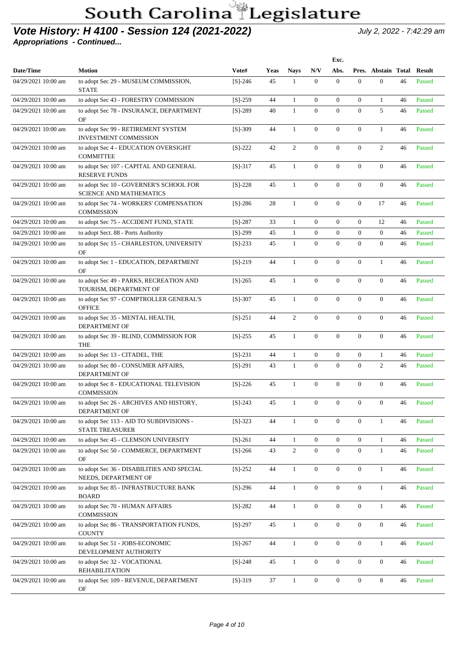#### **Vote History: H 4100 - Session 124 (2021-2022)** July 2, 2022 - 7:42:29 am

|                     |                                                                           |           |             |                |                  | Exc.             |                  |                     |    |               |
|---------------------|---------------------------------------------------------------------------|-----------|-------------|----------------|------------------|------------------|------------------|---------------------|----|---------------|
| Date/Time           | <b>Motion</b>                                                             | Vote#     | <b>Yeas</b> | <b>Nays</b>    | N/V              | Abs.             |                  | Pres. Abstain Total |    | <b>Result</b> |
| 04/29/2021 10:00 am | to adopt Sec 29 - MUSEUM COMMISSION,<br><b>STATE</b>                      | $[S]-246$ | 45          | 1              | $\mathbf{0}$     | $\boldsymbol{0}$ | $\overline{0}$   | $\Omega$            | 46 | Passed        |
| 04/29/2021 10:00 am | to adopt Sec 43 - FORESTRY COMMISSION                                     | $[S]-259$ | 44          | $\mathbf{1}$   | $\mathbf{0}$     | $\mathbf{0}$     | $\boldsymbol{0}$ | $\mathbf{1}$        | 46 | Passed        |
| 04/29/2021 10:00 am | to adopt Sec 78 - INSURANCE, DEPARTMENT<br>OF                             | $[S]-289$ | 40          | $\mathbf{1}$   | $\mathbf{0}$     | $\overline{0}$   | $\overline{0}$   | 5                   | 46 | Passed        |
| 04/29/2021 10:00 am | to adopt Sec 99 - RETIREMENT SYSTEM<br><b>INVESTMENT COMMISSION</b>       | $[S]-309$ | 44          | $\mathbf{1}$   | $\mathbf{0}$     | $\overline{0}$   | $\overline{0}$   | $\mathbf{1}$        | 46 | Passed        |
| 04/29/2021 10:00 am | to adopt Sec 4 - EDUCATION OVERSIGHT<br><b>COMMITTEE</b>                  | $[S]-222$ | 42          | $\mathbf{2}$   | $\boldsymbol{0}$ | $\overline{0}$   | $\overline{0}$   | $\overline{2}$      | 46 | Passed        |
| 04/29/2021 10:00 am | to adopt Sec 107 - CAPITAL AND GENERAL<br><b>RESERVE FUNDS</b>            | $[S]-317$ | 45          | $\mathbf{1}$   | $\boldsymbol{0}$ | $\overline{0}$   | $\overline{0}$   | $\overline{0}$      | 46 | Passed        |
| 04/29/2021 10:00 am | to adopt Sec 10 - GOVERNER'S SCHOOL FOR<br><b>SCIENCE AND MATHEMATICS</b> | $[S]-228$ | 45          | $\mathbf{1}$   | $\mathbf{0}$     | $\overline{0}$   | $\overline{0}$   | $\overline{0}$      | 46 | Passed        |
| 04/29/2021 10:00 am | to adopt Sec 74 - WORKERS' COMPENSATION<br><b>COMMISSION</b>              | $[S]-286$ | 28          | $\mathbf{1}$   | $\boldsymbol{0}$ | $\overline{0}$   | $\overline{0}$   | 17                  | 46 | Passed        |
| 04/29/2021 10:00 am | to adopt Sec 75 - ACCIDENT FUND, STATE                                    | $[S]-287$ | 33          | $\mathbf{1}$   | $\boldsymbol{0}$ | $\boldsymbol{0}$ | $\overline{0}$   | 12                  | 46 | Passed        |
| 04/29/2021 10:00 am | to adopt Sect. 88 - Ports Authority                                       | $[S]-299$ | 45          | $\mathbf{1}$   | $\mathbf{0}$     | $\boldsymbol{0}$ | $\mathbf{0}$     | $\boldsymbol{0}$    | 46 | Passed        |
| 04/29/2021 10:00 am | to adopt Sec 15 - CHARLESTON, UNIVERSITY<br>OF                            | $[S]-233$ | 45          | $\mathbf{1}$   | $\mathbf{0}$     | $\mathbf{0}$     | $\boldsymbol{0}$ | $\mathbf{0}$        | 46 | Passed        |
| 04/29/2021 10:00 am | to adopt Sec 1 - EDUCATION, DEPARTMENT<br>OF                              | $[S]-219$ | 44          | $\mathbf{1}$   | $\boldsymbol{0}$ | $\boldsymbol{0}$ | $\boldsymbol{0}$ | $\mathbf{1}$        | 46 | Passed        |
| 04/29/2021 10:00 am | to adopt Sec 49 - PARKS, RECREATION AND<br>TOURISM, DEPARTMENT OF         | $[S]-265$ | 45          | $\mathbf{1}$   | $\boldsymbol{0}$ | $\mathbf{0}$     | $\boldsymbol{0}$ | $\mathbf{0}$        | 46 | Passed        |
| 04/29/2021 10:00 am | to adopt Sec 97 - COMPTROLLER GENERAL'S<br><b>OFFICE</b>                  | $[S]-307$ | 45          | $\mathbf{1}$   | $\boldsymbol{0}$ | $\mathbf{0}$     | $\boldsymbol{0}$ | $\mathbf{0}$        | 46 | Passed        |
| 04/29/2021 10:00 am | to adopt Sec 35 - MENTAL HEALTH,<br><b>DEPARTMENT OF</b>                  | $[S]-251$ | 44          | $\overline{2}$ | $\mathbf{0}$     | $\mathbf{0}$     | $\boldsymbol{0}$ | $\mathbf{0}$        | 46 | Passed        |
| 04/29/2021 10:00 am | to adopt Sec 39 - BLIND, COMMISSION FOR<br><b>THE</b>                     | $[S]-255$ | 45          | $\mathbf{1}$   | $\mathbf{0}$     | $\mathbf{0}$     | $\boldsymbol{0}$ | $\mathbf{0}$        | 46 | Passed        |
| 04/29/2021 10:00 am | to adopt Sec 13 - CITADEL, THE                                            | $[S]-231$ | 44          | $\mathbf{1}$   | $\boldsymbol{0}$ | $\mathbf{0}$     | $\boldsymbol{0}$ | $\mathbf{1}$        | 46 | Passed        |
| 04/29/2021 10:00 am | to adopt Sec 80 - CONSUMER AFFAIRS,<br>DEPARTMENT OF                      | $[S]-291$ | 43          | $\mathbf{1}$   | $\Omega$         | $\Omega$         | $\Omega$         | $\overline{c}$      | 46 | Passed        |
| 04/29/2021 10:00 am | to adopt Sec 8 - EDUCATIONAL TELEVISION<br><b>COMMISSION</b>              | $[S]-226$ | 45          | $\mathbf{1}$   | $\overline{0}$   | $\mathbf{0}$     | $\Omega$         | $\Omega$            | 46 | Passed        |
| 04/29/2021 10:00 am | to adopt Sec 26 - ARCHIVES AND HISTORY,<br>DEPARTMENT OF                  | $[S]-243$ | 45          | $\mathbf{1}$   | $\overline{0}$   | $\overline{0}$   | $\overline{0}$   | $\overline{0}$      |    | 46 Passed     |
| 04/29/2021 10:00 am | to adopt Sec 113 - AID TO SUBDIVISIONS -<br><b>STATE TREASURER</b>        | $[S]-323$ | 44          | $\mathbf{1}$   | $\boldsymbol{0}$ | $\boldsymbol{0}$ | $\boldsymbol{0}$ | $\mathbf{1}$        | 46 | Passed        |
| 04/29/2021 10:00 am | to adopt Sec 45 - CLEMSON UNIVERSITY                                      | $[S]-261$ | 44          | $\mathbf{1}$   | $\mathbf{0}$     | $\overline{0}$   | $\boldsymbol{0}$ | $\mathbf{1}$        | 46 | Passed        |
| 04/29/2021 10:00 am | to adopt Sec 50 - COMMERCE, DEPARTMENT<br>OF                              | $[S]-266$ | 43          | $\overline{c}$ | $\boldsymbol{0}$ | $\boldsymbol{0}$ | $\boldsymbol{0}$ | $\mathbf{1}$        | 46 | Passed        |
| 04/29/2021 10:00 am | to adopt Sec 36 - DISABILITIES AND SPECIAL<br>NEEDS, DEPARTMENT OF        | $[S]-252$ | 44          | $\mathbf{1}$   | $\boldsymbol{0}$ | $\boldsymbol{0}$ | $\boldsymbol{0}$ | $\mathbf{1}$        | 46 | Passed        |
| 04/29/2021 10:00 am | to adopt Sec 85 - INFRASTRUCTURE BANK<br><b>BOARD</b>                     | $[S]-296$ | 44          | $\mathbf{1}$   | $\boldsymbol{0}$ | $\boldsymbol{0}$ | $\boldsymbol{0}$ | $\mathbf{1}$        | 46 | Passed        |
| 04/29/2021 10:00 am | to adopt Sec 70 - HUMAN AFFAIRS<br><b>COMMISSION</b>                      | $[S]-282$ | 44          | $\mathbf{1}$   | $\boldsymbol{0}$ | $\boldsymbol{0}$ | $\boldsymbol{0}$ | $\mathbf{1}$        | 46 | Passed        |
| 04/29/2021 10:00 am | to adopt Sec 86 - TRANSPORTATION FUNDS,<br><b>COUNTY</b>                  | $[S]-297$ | 45          | $\mathbf{1}$   | $\boldsymbol{0}$ | $\boldsymbol{0}$ | $\boldsymbol{0}$ | $\overline{0}$      | 46 | Passed        |
| 04/29/2021 10:00 am | to adopt Sec 51 - JOBS-ECONOMIC<br>DEVELOPMENT AUTHORITY                  | $[S]-267$ | 44          | $\mathbf{1}$   | $\boldsymbol{0}$ | $\boldsymbol{0}$ | $\boldsymbol{0}$ | $\mathbf{1}$        | 46 | Passed        |
| 04/29/2021 10:00 am | to adopt Sec 32 - VOCATIONAL<br><b>REHABILITATION</b>                     | $[S]-248$ | 45          | $\mathbf{1}$   | $\boldsymbol{0}$ | $\boldsymbol{0}$ | $\boldsymbol{0}$ | $\overline{0}$      | 46 | Passed        |
| 04/29/2021 10:00 am | to adopt Sec 109 - REVENUE, DEPARTMENT<br>OF                              | $[S]-319$ | 37          | $\mathbf{1}$   | $\boldsymbol{0}$ | $\boldsymbol{0}$ | $\boldsymbol{0}$ | 8                   | 46 | Passed        |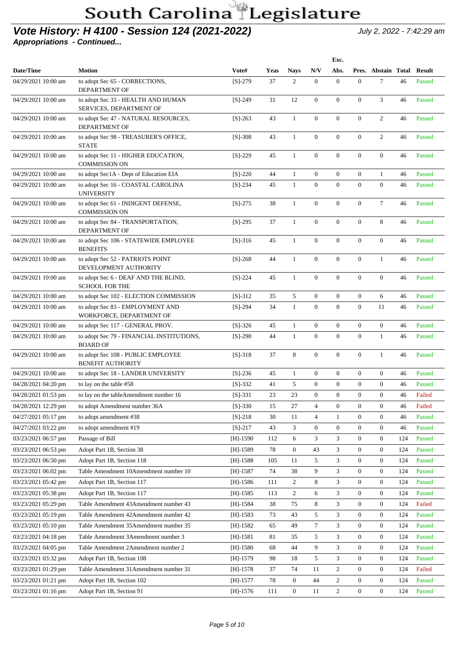#### **Vote History: H 4100 - Session 124 (2021-2022)** July 2, 2022 - 7:42:29 am

|                     |                                                                |            |      |                  |                  | Exc.             |                  |                     |     |               |
|---------------------|----------------------------------------------------------------|------------|------|------------------|------------------|------------------|------------------|---------------------|-----|---------------|
| Date/Time           | <b>Motion</b>                                                  | Vote#      | Yeas | <b>Nays</b>      | N/V              | Abs.             |                  | Pres. Abstain Total |     | <b>Result</b> |
| 04/29/2021 10:00 am | to adopt Sec 65 - CORRECTIONS,<br>DEPARTMENT OF                | $[S]-279$  | 37   | 2                | $\mathbf{0}$     | $\mathbf{0}$     | $\boldsymbol{0}$ | $\tau$              | 46  | Passed        |
| 04/29/2021 10:00 am | to adopt Sec 33 - HEALTH AND HUMAN<br>SERVICES, DEPARTMENT OF  | $[S]-249$  | 31   | 12               | $\theta$         | $\mathbf{0}$     | $\boldsymbol{0}$ | 3                   | 46  | Passed        |
| 04/29/2021 10:00 am | to adopt Sec 47 - NATURAL RESOURCES,<br>DEPARTMENT OF          | $[S]-263$  | 43   | 1                | $\theta$         | $\mathbf{0}$     | $\boldsymbol{0}$ | $\overline{2}$      | 46  | Passed        |
| 04/29/2021 10:00 am | to adopt Sec 98 - TREASURER'S OFFICE,<br><b>STATE</b>          | $[S]-308$  | 43   | 1                | $\theta$         | $\mathbf{0}$     | $\overline{0}$   | $\overline{2}$      | 46  | Passed        |
| 04/29/2021 10:00 am | to adopt Sec 11 - HIGHER EDUCATION,<br><b>COMMISSION ON</b>    | $[S]-229$  | 45   | 1                | $\theta$         | $\mathbf{0}$     | $\boldsymbol{0}$ | $\overline{0}$      | 46  | Passed        |
| 04/29/2021 10:00 am | to adopt Sec1A - Dept of Education EIA                         | $[S]-220$  | 44   | 1                | $\mathbf{0}$     | $\mathbf{0}$     | $\boldsymbol{0}$ | $\mathbf{1}$        | 46  | Passed        |
| 04/29/2021 10:00 am | to adopt Sec 16 - COASTAL CAROLINA<br><b>UNIVERSITY</b>        | $[S]-234$  | 45   | $\mathbf{1}$     | $\theta$         | $\mathbf{0}$     | $\overline{0}$   | $\mathbf{0}$        | 46  | Passed        |
| 04/29/2021 10:00 am | to adopt Sec 61 - INDIGENT DEFENSE,<br><b>COMMISSION ON</b>    | $[S]-275$  | 38   | $\mathbf{1}$     | $\theta$         | $\mathbf{0}$     | $\overline{0}$   | $\tau$              | 46  | Passed        |
| 04/29/2021 10:00 am | to adopt Sec 84 - TRANSPORTATION,<br><b>DEPARTMENT OF</b>      | $[S]-295$  | 37   | $\mathbf{1}$     | $\theta$         | $\mathbf{0}$     | $\boldsymbol{0}$ | 8                   | 46  | Passed        |
| 04/29/2021 10:00 am | to adopt Sec 106 - STATEWIDE EMPLOYEE<br><b>BENEFITS</b>       | $[S]-316$  | 45   | $\mathbf{1}$     | $\mathbf{0}$     | $\mathbf{0}$     | $\boldsymbol{0}$ | $\overline{0}$      | 46  | Passed        |
| 04/29/2021 10:00 am | to adopt Sec 52 - PATRIOTS POINT<br>DEVELOPMENT AUTHORITY      | $[S]-268$  | 44   | $\mathbf{1}$     | $\mathbf{0}$     | $\mathbf{0}$     | $\boldsymbol{0}$ | $\mathbf{1}$        | 46  | Passed        |
| 04/29/2021 10:00 am | to adopt Sec 6 - DEAF AND THE BLIND,<br><b>SCHOOL FOR THE</b>  | $[S]-224$  | 45   | $\mathbf{1}$     | $\theta$         | $\mathbf{0}$     | $\boldsymbol{0}$ | $\mathbf{0}$        | 46  | Passed        |
| 04/29/2021 10:00 am | to adopt Sec 102 - ELECTION COMMISSION                         | $[S]-312$  | 35   | 5                | $\mathbf{0}$     | $\mathbf{0}$     | $\mathbf{0}$     | 6                   | 46  | Passed        |
| 04/29/2021 10:00 am | to adopt Sec 83 - EMPLOYMENT AND<br>WORKFORCE, DEPARTMENT OF   | $[S]-294$  | 34   | $\mathbf{1}$     | $\mathbf{0}$     | $\mathbf{0}$     | $\boldsymbol{0}$ | 11                  | 46  | Passed        |
| 04/29/2021 10:00 am | to adopt Sec 117 - GENERAL PROV.                               | $[S]-326$  | 45   | $\mathbf{1}$     | $\mathbf{0}$     | $\mathbf{0}$     | $\boldsymbol{0}$ | $\mathbf{0}$        | 46  | Passed        |
| 04/29/2021 10:00 am | to adopt Sec 79 - FINANCIAL INSTITUTIONS,<br><b>BOARD OF</b>   | $[S]-290$  | 44   | 1                | $\boldsymbol{0}$ | $\mathbf{0}$     | $\overline{0}$   | $\mathbf{1}$        | 46  | Passed        |
| 04/29/2021 10:00 am | to adopt Sec 108 - PUBLIC EMPLOYEE<br><b>BENEFIT AUTHORITY</b> | $[S]-318$  | 37   | 8                | $\mathbf{0}$     | $\mathbf{0}$     | $\boldsymbol{0}$ | $\mathbf{1}$        | 46  | Passed        |
| 04/29/2021 10:00 am | to adopt Sec 18 - LANDER UNIVERSITY                            | $[S]-236$  | 45   | 1                | $\mathbf{0}$     | $\mathbf{0}$     | $\boldsymbol{0}$ | $\mathbf{0}$        | 46  | Passed        |
| 04/28/2021 04:20 pm | to lay on the table #58                                        | $[S]-332$  | 41   | 5                | $\overline{0}$   | $\mathbf{0}$     | $\boldsymbol{0}$ | $\mathbf{0}$        | 46  | Passed        |
| 04/28/2021 01:53 pm | to lay on the tableAmendment number 16                         | $[S]-331$  | 23   | 23               | $\overline{0}$   | $\mathbf{0}$     | $\boldsymbol{0}$ | $\mathbf{0}$        | 46  | Failed        |
| 04/28/2021 12:29 pm | to adopt Amendment number 36A                                  | $[S]-330$  | 15   | 27               | 4                | $\boldsymbol{0}$ | $\boldsymbol{0}$ | $\mathbf{0}$        | 46  | Failed        |
| 04/27/2021 05:17 pm | to adopt amendment #38                                         | $[S]-218$  | 30   | 11               | $\overline{4}$   | $\mathbf{1}$     | $\boldsymbol{0}$ | $\boldsymbol{0}$    | 46  | Passed        |
| 04/27/2021 03:22 pm | to adopt amendment #19                                         | $[S]-217$  | 43   | 3                | $\boldsymbol{0}$ | $\boldsymbol{0}$ | $\boldsymbol{0}$ | $\boldsymbol{0}$    | 46  | Passed        |
| 03/23/2021 06:57 pm | Passage of Bill                                                | $[H]-1590$ | 112  | 6                | 3                | 3                | $\boldsymbol{0}$ | $\boldsymbol{0}$    | 124 | Passed        |
| 03/23/2021 06:53 pm | Adopt Part 1B, Section 38                                      | $[H]-1589$ | 78   | $\boldsymbol{0}$ | 43               | 3                | $\boldsymbol{0}$ | $\boldsymbol{0}$    | 124 | Passed        |
| 03/23/2021 06:50 pm | Adopt Part 1B, Section 118                                     | [H]-1588   | 105  | 11               | 5                | 3                | $\boldsymbol{0}$ | $\boldsymbol{0}$    | 124 | Passed        |
| 03/23/2021 06:02 pm | Table Amendment 10Amendment number 10                          | $[H]-1587$ | 74   | 38               | 9                | 3                | $\boldsymbol{0}$ | $\boldsymbol{0}$    | 124 | Passed        |
| 03/23/2021 05:42 pm | Adopt Part 1B, Section 117                                     | $[H]-1586$ | 111  | $\overline{2}$   | 8                | 3                | $\boldsymbol{0}$ | $\boldsymbol{0}$    | 124 | Passed        |
| 03/23/2021 05:38 pm | Adopt Part 1B, Section 117                                     | $[H]-1585$ | 113  | $\overline{c}$   | 6                | 3                | 0                | $\boldsymbol{0}$    | 124 | Passed        |
| 03/23/2021 05:29 pm | Table Amendment 43Amendment number 43                          | $[H]-1584$ | 38   | 75               | 8                | 3                | $\overline{0}$   | $\boldsymbol{0}$    | 124 | Failed        |
| 03/23/2021 05:19 pm | Table Amendment 42Amendment number 42                          | $[H]-1583$ | 73   | 43               | 5                | 3                | 0                | $\boldsymbol{0}$    | 124 | Passed        |
| 03/23/2021 05:10 pm | Table Amendment 35Amendment number 35                          | $[H]-1582$ | 65   | 49               | $\tau$           | 3                | $\boldsymbol{0}$ | $\boldsymbol{0}$    | 124 | Passed        |
| 03/23/2021 04:18 pm | Table Amendment 3Amendment number 3                            | $[H]-1581$ | 81   | 35               | 5                | 3                | $\boldsymbol{0}$ | $\boldsymbol{0}$    | 124 | Passed        |
| 03/23/2021 04:05 pm | Table Amendment 2Amendment number 2                            | $[H]-1580$ | 68   | 44               | 9                | 3                | 0                | $\boldsymbol{0}$    | 124 | Passed        |
| 03/23/2021 03:32 pm | Adopt Part 1B, Section 108                                     | $[H]-1579$ | 98   | 18               | 5                | 3                | $\boldsymbol{0}$ | $\boldsymbol{0}$    | 124 | Passed        |
| 03/23/2021 01:29 pm | Table Amendment 31 Amendment number 31                         | $[H]-1578$ | 37   | 74               | 11               | $\overline{2}$   | $\boldsymbol{0}$ | $\boldsymbol{0}$    | 124 | Failed        |
| 03/23/2021 01:21 pm | Adopt Part 1B, Section 102                                     | $[H]-1577$ | 78   | $\overline{0}$   | 44               | $\overline{c}$   | $\mathbf{0}$     | $\boldsymbol{0}$    | 124 | Passed        |
| 03/23/2021 01:16 pm | Adopt Part 1B, Section 91                                      | $[H]-1576$ | 111  | $\boldsymbol{0}$ | 11               | $\overline{2}$   | $\boldsymbol{0}$ | $\overline{0}$      | 124 | Passed        |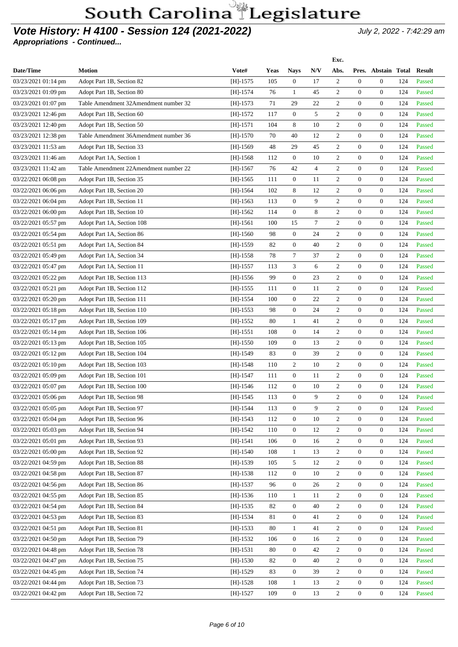### **Vote History: H 4100 - Session 124 (2021-2022)** July 2, 2022 - 7:42:29 am

|                     |                                       |            |             |                  |                | Exc.             |                  |                            |     |        |
|---------------------|---------------------------------------|------------|-------------|------------------|----------------|------------------|------------------|----------------------------|-----|--------|
| Date/Time           | <b>Motion</b>                         | Vote#      | <b>Yeas</b> | <b>Nays</b>      | N/V            | Abs.             |                  | Pres. Abstain Total Result |     |        |
| 03/23/2021 01:14 pm | Adopt Part 1B, Section 82             | $[H]-1575$ | 105         | $\overline{0}$   | 17             | 2                | $\boldsymbol{0}$ | $\mathbf{0}$               | 124 | Passed |
| 03/23/2021 01:09 pm | Adopt Part 1B, Section 80             | $[H]-1574$ | 76          | 1                | 45             | $\overline{c}$   | $\mathbf{0}$     | $\overline{0}$             | 124 | Passed |
| 03/23/2021 01:07 pm | Table Amendment 32Amendment number 32 | $[H]-1573$ | 71          | 29               | 22             | 2                | $\overline{0}$   | $\overline{0}$             | 124 | Passed |
| 03/23/2021 12:46 pm | Adopt Part 1B, Section 60             | $[H]-1572$ | 117         | $\mathbf{0}$     | 5              | $\overline{2}$   | $\overline{0}$   | $\overline{0}$             | 124 | Passed |
| 03/23/2021 12:40 pm | Adopt Part 1B, Section 50             | $[H]-1571$ | 104         | 8                | 10             | $\overline{c}$   | 0                | $\overline{0}$             | 124 | Passed |
| 03/23/2021 12:38 pm | Table Amendment 36Amendment number 36 | $[H]-1570$ | 70          | 40               | 12             | $\overline{2}$   | $\overline{0}$   | $\overline{0}$             | 124 | Passed |
| 03/23/2021 11:53 am | Adopt Part 1B, Section 33             | $[H]-1569$ | 48          | 29               | 45             | $\overline{2}$   | $\overline{0}$   | $\overline{0}$             | 124 | Passed |
| 03/23/2021 11:46 am | Adopt Part 1A, Section 1              | $[H]-1568$ | 112         | $\overline{0}$   | 10             | $\overline{c}$   | $\overline{0}$   | $\overline{0}$             | 124 | Passed |
| 03/23/2021 11:42 am | Table Amendment 22Amendment number 22 | $[H]-1567$ | 76          | 42               | $\overline{4}$ | $\overline{2}$   | $\mathbf{0}$     | $\overline{0}$             | 124 | Passed |
| 03/22/2021 06:08 pm | Adopt Part 1B, Section 35             | $[H]-1565$ | 111         | $\overline{0}$   | 11             | 2                | $\overline{0}$   | $\overline{0}$             | 124 | Passed |
| 03/22/2021 06:06 pm | Adopt Part 1B, Section 20             | $[H]-1564$ | 102         | 8                | 12             | 2                | 0                | $\overline{0}$             | 124 | Passed |
| 03/22/2021 06:04 pm | Adopt Part 1B, Section 11             | $[H]-1563$ | 113         | $\overline{0}$   | 9              | 2                | $\overline{0}$   | $\overline{0}$             | 124 | Passed |
| 03/22/2021 06:00 pm | Adopt Part 1B, Section 10             | $[H]-1562$ | 114         | $\boldsymbol{0}$ | 8              | $\mathbf{2}$     | $\overline{0}$   | $\overline{0}$             | 124 | Passed |
| 03/22/2021 05:57 pm | Adopt Part 1A, Section 108            | $[H]-1561$ | 100         | 15               | $\tau$         | $\overline{2}$   | $\overline{0}$   | $\overline{0}$             | 124 | Passed |
| 03/22/2021 05:54 pm | Adopt Part 1A, Section 86             | $[H]-1560$ | 98          | $\overline{0}$   | 24             | $\overline{2}$   | $\overline{0}$   | $\overline{0}$             | 124 | Passed |
| 03/22/2021 05:51 pm | Adopt Part 1A, Section 84             | $[H]-1559$ | 82          | $\boldsymbol{0}$ | 40             | $\overline{c}$   | 0                | $\overline{0}$             | 124 | Passed |
| 03/22/2021 05:49 pm | Adopt Part 1A, Section 34             | $[H]-1558$ | 78          | $\tau$           | 37             | $\overline{2}$   | $\overline{0}$   | $\overline{0}$             | 124 | Passed |
| 03/22/2021 05:47 pm | Adopt Part 1A, Section 11             | $[H]-1557$ | 113         | 3                | 6              | $\mathfrak{2}$   | $\overline{0}$   | $\overline{0}$             | 124 | Passed |
| 03/22/2021 05:22 pm | Adopt Part 1B, Section 113            | $[H]-1556$ | 99          | $\overline{0}$   | 23             | $\overline{c}$   | $\overline{0}$   | $\overline{0}$             | 124 | Passed |
| 03/22/2021 05:21 pm | Adopt Part 1B, Section 112            | $[H]-1555$ | 111         | $\mathbf{0}$     | 11             | $\overline{2}$   | $\mathbf{0}$     | $\overline{0}$             | 124 | Passed |
|                     | Adopt Part 1B, Section 111            | $[H]-1554$ | 100         | $\mathbf{0}$     | 22             | 2                | $\overline{0}$   | $\overline{0}$             | 124 | Passed |
| 03/22/2021 05:20 pm |                                       |            |             | $\mathbf{0}$     |                | 2                | $\overline{0}$   |                            |     |        |
| 03/22/2021 05:18 pm | Adopt Part 1B, Section 110            | $[H]-1553$ | 98          |                  | 24             |                  |                  | $\overline{0}$             | 124 | Passed |
| 03/22/2021 05:17 pm | Adopt Part 1B, Section 109            | $[H]-1552$ | 80          | $\mathbf{1}$     | 41             | 2                | $\overline{0}$   | $\overline{0}$             | 124 | Passed |
| 03/22/2021 05:14 pm | Adopt Part 1B, Section 106            | $[H]-1551$ | 108         | $\boldsymbol{0}$ | 14             | $\overline{c}$   | $\mathbf{0}$     | $\overline{0}$             | 124 | Passed |
| 03/22/2021 05:13 pm | Adopt Part 1B, Section 105            | $[H]-1550$ | 109         | $\overline{0}$   | 13             | $\boldsymbol{2}$ | 0                | $\overline{0}$             | 124 | Passed |
| 03/22/2021 05:12 pm | Adopt Part 1B, Section 104            | [H]-1549   | 83          | $\mathbf{0}$     | 39             | $\overline{2}$   | $\overline{0}$   | $\overline{0}$             | 124 | Passed |
| 03/22/2021 05:10 pm | Adopt Part 1B, Section 103            | [H]-1548   | 110         | 2                | 10             | $\overline{c}$   | 0                | $\overline{0}$             | 124 | Passed |
| 03/22/2021 05:09 pm | Adopt Part 1B, Section 101            | $[H]-1547$ | 111         | $\overline{0}$   | 11             | 2                | $\mathbf{0}$     | $\overline{0}$             | 124 | Passed |
| 03/22/2021 05:07 pm | Adopt Part 1B, Section 100            | $[H]-1546$ | 112         | $\mathbf{0}$     | 10             | $\overline{c}$   | $\overline{0}$   | $\overline{0}$             | 124 | Passed |
| 03/22/2021 05:06 pm | Adopt Part 1B, Section 98             | [H]-1545   | 113         | $\overline{0}$   | 9              | $\mathbf{c}$     | $\overline{0}$   | $\mathbf{0}$               | 124 | Passed |
| 03/22/2021 05:05 pm | Adopt Part 1B, Section 97             | $[H]-1544$ | 113         | $\mathbf{0}$     | 9              | $\mathbf{2}$     | $\boldsymbol{0}$ | $\overline{0}$             | 124 | Passed |
| 03/22/2021 05:04 pm | Adopt Part 1B, Section 96             | $[H]-1543$ | 112         | $\overline{0}$   | 10             | $\mathbf{2}$     | $\boldsymbol{0}$ | $\mathbf{0}$               | 124 | Passed |
| 03/22/2021 05:03 pm | Adopt Part 1B, Section 94             | $[H]-1542$ | 110         | $\boldsymbol{0}$ | 12             | $\overline{c}$   | $\overline{0}$   | $\boldsymbol{0}$           | 124 | Passed |
| 03/22/2021 05:01 pm | Adopt Part 1B, Section 93             | [H]-1541   | 106         | $\overline{0}$   | 16             | $\overline{2}$   | $\boldsymbol{0}$ | $\mathbf{0}$               | 124 | Passed |
| 03/22/2021 05:00 pm | Adopt Part 1B, Section 92             | $[H]-1540$ | 108         | $\mathbf{1}$     | 13             | $\overline{c}$   | $\mathbf{0}$     | $\overline{0}$             | 124 | Passed |
| 03/22/2021 04:59 pm | Adopt Part 1B, Section 88             | $[H]-1539$ | 105         | 5                | 12             | $\overline{c}$   | 0                | $\overline{0}$             | 124 | Passed |
| 03/22/2021 04:58 pm | Adopt Part 1B, Section 87             | $[H]-1538$ | 112         | $\mathbf{0}$     | 10             | $\mathbf{2}$     | $\boldsymbol{0}$ | $\mathbf{0}$               | 124 | Passed |
| 03/22/2021 04:56 pm | Adopt Part 1B, Section 86             | $[H]-1537$ | 96          | $\boldsymbol{0}$ | 26             | $\overline{c}$   | $\mathbf{0}$     | $\boldsymbol{0}$           | 124 | Passed |
| 03/22/2021 04:55 pm | Adopt Part 1B, Section 85             | $[H]-1536$ | 110         | $\mathbf{1}$     | 11             | $\mathbf{2}$     | $\boldsymbol{0}$ | $\mathbf{0}$               | 124 | Passed |
| 03/22/2021 04:54 pm | Adopt Part 1B, Section 84             | $[H]-1535$ | 82          | $\boldsymbol{0}$ | 40             | $\sqrt{2}$       | $\boldsymbol{0}$ | $\boldsymbol{0}$           | 124 | Passed |
| 03/22/2021 04:53 pm | Adopt Part 1B, Section 83             | $[H]-1534$ | 81          | $\boldsymbol{0}$ | 41             | $\overline{c}$   | $\mathbf{0}$     | $\overline{0}$             | 124 | Passed |
| 03/22/2021 04:51 pm | Adopt Part 1B, Section 81             | $[H]-1533$ | 80          | $\mathbf{1}$     | 41             | $\mathbf{2}$     | $\mathbf{0}$     | $\mathbf{0}$               | 124 | Passed |
| 03/22/2021 04:50 pm | Adopt Part 1B, Section 79             | $[H]-1532$ | 106         | $\boldsymbol{0}$ | 16             | $\overline{c}$   | $\boldsymbol{0}$ | $\mathbf{0}$               | 124 | Passed |
| 03/22/2021 04:48 pm | Adopt Part 1B, Section 78             | $[H]-1531$ | 80          | $\boldsymbol{0}$ | 42             | $\sqrt{2}$       | $\mathbf{0}$     | $\boldsymbol{0}$           | 124 | Passed |
| 03/22/2021 04:47 pm | Adopt Part 1B, Section 75             | $[H]-1530$ | 82          | $\overline{0}$   | 40             | $\overline{c}$   | $\mathbf{0}$     | $\mathbf{0}$               | 124 | Passed |
| 03/22/2021 04:45 pm | Adopt Part 1B, Section 74             | $[H]-1529$ | 83          | $\boldsymbol{0}$ | 39             | $\mathbf{2}$     | $\mathbf{0}$     | $\boldsymbol{0}$           | 124 | Passed |
| 03/22/2021 04:44 pm | Adopt Part 1B, Section 73             | $[H]-1528$ | 108         | $\mathbf{1}$     | 13             | $\overline{c}$   | $\mathbf{0}$     | $\overline{0}$             | 124 | Passed |
| 03/22/2021 04:42 pm | Adopt Part 1B, Section 72             | $[H]-1527$ | 109         | $\boldsymbol{0}$ | 13             | $\mathbf{2}$     | $\boldsymbol{0}$ | $\mathbf{0}$               | 124 | Passed |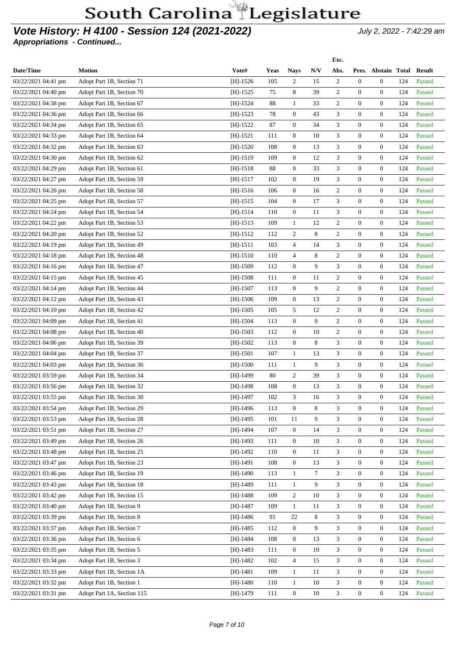### **Vote History: H 4100 - Session 124 (2021-2022)** July 2, 2022 - 7:42:29 am

|                     |                            |            |             |                  |     | Exc.           |                  |                     |     |               |
|---------------------|----------------------------|------------|-------------|------------------|-----|----------------|------------------|---------------------|-----|---------------|
| Date/Time           | <b>Motion</b>              | Vote#      | <b>Yeas</b> | <b>Nays</b>      | N/V | Abs.           |                  | Pres. Abstain Total |     | <b>Result</b> |
| 03/22/2021 04:41 pm | Adopt Part 1B, Section 71  | $[H]-1526$ | 105         | $\overline{2}$   | 15  | $\overline{2}$ | $\mathbf{0}$     | $\overline{0}$      | 124 | Passed        |
| 03/22/2021 04:40 pm | Adopt Part 1B, Section 70  | $[H]-1525$ | 75          | 8                | 39  | 2              | $\mathbf{0}$     | $\overline{0}$      | 124 | Passed        |
| 03/22/2021 04:38 pm | Adopt Part 1B, Section 67  | $[H]-1524$ | 88          | $\mathbf{1}$     | 33  | $\overline{c}$ | $\overline{0}$   | $\overline{0}$      | 124 | Passed        |
| 03/22/2021 04:36 pm | Adopt Part 1B, Section 66  | $[H]-1523$ | 78          | $\boldsymbol{0}$ | 43  | 3              | 0                | $\overline{0}$      | 124 | Passed        |
| 03/22/2021 04:34 pm | Adopt Part 1B, Section 65  | $[H]-1522$ | 87          | $\overline{0}$   | 34  | 3              | $\overline{0}$   | $\overline{0}$      | 124 | Passed        |
| 03/22/2021 04:33 pm | Adopt Part 1B, Section 64  | $[H]-1521$ | 111         | $\overline{0}$   | 10  | 3              | $\overline{0}$   | $\overline{0}$      | 124 | Passed        |
| 03/22/2021 04:32 pm | Adopt Part 1B, Section 63  | $[H]-1520$ | 108         | $\overline{0}$   | 13  | $\mathfrak{Z}$ | $\overline{0}$   | $\overline{0}$      | 124 | Passed        |
| 03/22/2021 04:30 pm | Adopt Part 1B, Section 62  | $[H]-1519$ | 109         | $\overline{0}$   | 12  | 3              | $\overline{0}$   | $\overline{0}$      | 124 | Passed        |
| 03/22/2021 04:29 pm | Adopt Part 1B, Section 61  | $[H]-1518$ | 88          | $\mathbf{0}$     | 33  | 3              | $\overline{0}$   | $\overline{0}$      | 124 | Passed        |
| 03/22/2021 04:27 pm | Adopt Part 1B, Section 59  | $[H]-1517$ | 102         | $\overline{0}$   | 19  | 3              | $\overline{0}$   | $\overline{0}$      | 124 | Passed        |
| 03/22/2021 04:26 pm | Adopt Part 1B, Section 58  | $[H]-1516$ | 106         | $\overline{0}$   | 16  | 2              | $\overline{0}$   | $\overline{0}$      | 124 | Passed        |
| 03/22/2021 04:25 pm | Adopt Part 1B, Section 57  | $[H]-1515$ | 104         | $\overline{0}$   | 17  | 3              | $\overline{0}$   | $\overline{0}$      | 124 | Passed        |
| 03/22/2021 04:24 pm | Adopt Part 1B, Section 54  | $[H]-1514$ | 110         | $\overline{0}$   | 11  | 3              | $\overline{0}$   | $\overline{0}$      | 124 | Passed        |
| 03/22/2021 04:22 pm | Adopt Part 1B, Section 53  | $[H]-1513$ | 109         | 1                | 12  | $\overline{2}$ | $\overline{0}$   | $\overline{0}$      | 124 | Passed        |
| 03/22/2021 04:20 pm | Adopt Part 1B, Section 52  | $[H]-1512$ | 112         | $\overline{c}$   | 8   | $\overline{c}$ | $\boldsymbol{0}$ | $\overline{0}$      | 124 | Passed        |
| 03/22/2021 04:19 pm | Adopt Part 1B, Section 49  | $[H]-1511$ | 103         | $\overline{4}$   | 14  | 3              | $\overline{0}$   | $\overline{0}$      | 124 | Passed        |
| 03/22/2021 04:18 pm | Adopt Part 1B, Section 48  | $[H]-1510$ | 110         | $\overline{4}$   | 8   | $\mathfrak{2}$ | $\overline{0}$   | $\mathbf{0}$        | 124 | Passed        |
| 03/22/2021 04:16 pm | Adopt Part 1B, Section 47  | $[H]-1509$ | 112         | $\overline{0}$   | 9   | 3              | $\overline{0}$   | $\overline{0}$      | 124 | Passed        |
| 03/22/2021 04:15 pm | Adopt Part 1B, Section 45  | $[H]-1508$ | 111         | $\overline{0}$   | 11  | $\overline{c}$ | $\overline{0}$   | $\overline{0}$      | 124 | Passed        |
| 03/22/2021 04:14 pm | Adopt Part 1B, Section 44  | $[H]-1507$ | 113         | $\mathbf{0}$     | 9   | $\mathbf{2}$   | $\overline{0}$   | $\overline{0}$      | 124 | Passed        |
| 03/22/2021 04:12 pm | Adopt Part 1B, Section 43  | $[H]-1506$ | 109         | $\overline{0}$   | 13  | $\mathbf{2}$   | $\overline{0}$   | $\overline{0}$      | 124 | Passed        |
| 03/22/2021 04:10 pm | Adopt Part 1B, Section 42  | $[H]-1505$ | 105         | 5                | 12  | 2              | $\overline{0}$   | $\overline{0}$      | 124 | Passed        |
| 03/22/2021 04:09 pm | Adopt Part 1B, Section 41  | $[H]-1504$ | 113         | $\mathbf{0}$     | 9   | $\overline{2}$ | $\overline{0}$   | $\overline{0}$      | 124 | Passed        |
| 03/22/2021 04:08 pm | Adopt Part 1B, Section 40  | $[H]-1503$ | 112         | $\overline{0}$   | 10  | $\overline{2}$ | $\overline{0}$   | $\overline{0}$      | 124 | Passed        |
| 03/22/2021 04:06 pm | Adopt Part 1B, Section 39  | $[H]-1502$ | 113         | $\overline{0}$   | 8   | 3              | $\overline{0}$   | $\overline{0}$      | 124 | Passed        |
| 03/22/2021 04:04 pm | Adopt Part 1B, Section 37  | $[H]-1501$ | 107         | $\mathbf{1}$     | 13  | 3              | $\overline{0}$   | $\overline{0}$      | 124 | Passed        |
| 03/22/2021 04:03 pm | Adopt Part 1B, Section 36  | $[H]-1500$ | 111         | $\mathbf{1}$     | 9   | 3              | $\overline{0}$   | $\overline{0}$      | 124 | Passed        |
| 03/22/2021 03:59 pm | Adopt Part 1B, Section 34  | $[H]-1499$ | 80          | $\overline{c}$   | 39  | 3              | $\overline{0}$   | $\mathbf{0}$        | 124 | Passed        |
| 03/22/2021 03:56 pm | Adopt Part 1B, Section 32  | [H]-1498   | 108         | $\overline{0}$   | 13  | 3              | $\overline{0}$   | $\overline{0}$      | 124 | Passed        |
| 03/22/2021 03:55 pm | Adopt Part 1B, Section 30  | [H]-1497   | 102         | 3                | 16  | 3              | $\boldsymbol{0}$ | $\mathbf{0}$        | 124 | Passed        |
| 03/22/2021 03:54 pm | Adopt Part 1B, Section 29  | $[H]-1496$ | 113         | $\mathbf{0}$     | 8   | $\mathfrak{Z}$ | $\mathbf{0}$     | $\overline{0}$      | 124 | Passed        |
| 03/22/2021 03:53 pm | Adopt Part 1B, Section 28  | $[H]-1495$ | 101         | 11               | 9   | 3              | $\mathbf{0}$     | $\boldsymbol{0}$    | 124 | Passed        |
| 03/22/2021 03:51 pm | Adopt Part 1B, Section 27  | $[H]-1494$ | 107         | $\boldsymbol{0}$ | 14  | 3              | $\boldsymbol{0}$ | $\overline{0}$      | 124 | Passed        |
| 03/22/2021 03:49 pm | Adopt Part 1B, Section 26  | $[H]-1493$ | 111         | $\mathbf{0}$     | 10  | 3              | $\mathbf{0}$     | $\overline{0}$      | 124 | Passed        |
| 03/22/2021 03:48 pm | Adopt Part 1B, Section 25  | $[H]-1492$ | 110         | $\boldsymbol{0}$ | 11  | 3              | $\boldsymbol{0}$ | $\overline{0}$      | 124 | Passed        |
| 03/22/2021 03:47 pm | Adopt Part 1B, Section 23  | [H]-1491   | 108         | $\mathbf{0}$     | 13  | 3              | $\boldsymbol{0}$ | $\overline{0}$      | 124 | Passed        |
| 03/22/2021 03:46 pm | Adopt Part 1B, Section 19  | $[H]-1490$ | 113         | 1                | 7   | 3              | $\mathbf{0}$     | $\overline{0}$      | 124 | Passed        |
| 03/22/2021 03:43 pm | Adopt Part 1B, Section 18  | $[H]-1489$ | 111         | $\mathbf{1}$     | 9   | 3              | $\mathbf{0}$     | $\overline{0}$      | 124 | Passed        |
| 03/22/2021 03:42 pm | Adopt Part 1B, Section 15  | $[H]-1488$ | 109         | $\overline{c}$   | 10  | 3              | $\boldsymbol{0}$ | $\boldsymbol{0}$    | 124 | Passed        |
| 03/22/2021 03:40 pm | Adopt Part 1B, Section 9   | $[H]-1487$ | 109         | $\mathbf{1}$     | 11  | 3              | $\mathbf{0}$     | $\overline{0}$      | 124 | Passed        |
| 03/22/2021 03:39 pm | Adopt Part 1B, Section 8   | $[H]-1486$ | 91          | 22               | 8   | 3              | $\mathbf{0}$     | $\overline{0}$      | 124 | Passed        |
| 03/22/2021 03:37 pm | Adopt Part 1B, Section 7   | $[H]-1485$ | 112         | $\boldsymbol{0}$ | 9   | 3              | $\mathbf{0}$     | $\overline{0}$      | 124 | Passed        |
| 03/22/2021 03:36 pm | Adopt Part 1B, Section 6   | $[H]-1484$ | 108         | $\mathbf{0}$     | 13  | 3              | $\mathbf{0}$     | $\overline{0}$      | 124 | Passed        |
| 03/22/2021 03:35 pm | Adopt Part 1B, Section 5   | $[H]-1483$ | 111         | $\boldsymbol{0}$ | 10  | 3              | $\mathbf{0}$     | $\overline{0}$      | 124 | Passed        |
| 03/22/2021 03:34 pm | Adopt Part 1B, Section 3   | $[H]-1482$ | 102         | $\overline{4}$   | 15  | 3              | $\mathbf{0}$     | $\overline{0}$      | 124 | Passed        |
| 03/22/2021 03:33 pm | Adopt Part 1B, Section 1A  | $[H]-1481$ | 109         | $\mathbf{1}$     | 11  | 3              | $\mathbf{0}$     | $\overline{0}$      | 124 | Passed        |
| 03/22/2021 03:32 pm | Adopt Part 1B, Section 1   | $[H]-1480$ | 110         | $\mathbf{1}$     | 10  | 3              | $\boldsymbol{0}$ | $\overline{0}$      | 124 | Passed        |
| 03/22/2021 03:31 pm | Adopt Part 1A, Section 115 | $[H]-1479$ | 111         | $\boldsymbol{0}$ | 10  | 3              | $\boldsymbol{0}$ | $\boldsymbol{0}$    | 124 | Passed        |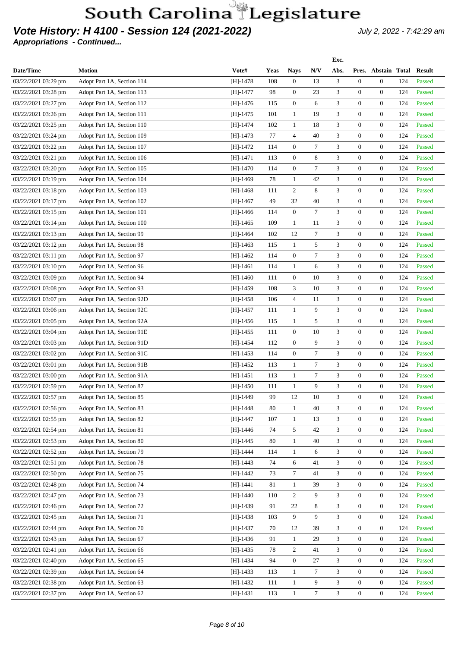#### **Vote History: H 4100 - Session 124 (2021-2022)** July 2, 2022 - 7:42:29 am

| Vote#<br>N/V<br>Date/Time<br><b>Motion</b><br>Yeas<br>Abs.<br>Pres. Abstain Total<br><b>Result</b><br><b>Nays</b><br>3<br>$\mathbf{0}$<br>03/22/2021 03:29 pm<br>$[H]-1478$<br>108<br>$\overline{0}$<br>13<br>$\overline{0}$<br>124<br>Passed<br>Adopt Part 1A, Section 114<br>98<br>$\mathbf{0}$<br>23<br>3<br>$\mathbf{0}$<br>$\overline{0}$<br>124<br>03/22/2021 03:28 pm<br>Adopt Part 1A, Section 113<br>$[H]-1477$<br>Passed<br>$\mathbf{0}$<br>3<br>0<br>$\overline{0}$<br>124<br>Adopt Part 1A, Section 112<br>115<br>6<br>Passed<br>03/22/2021 03:27 pm<br>$[H]-1476$<br>3<br>Adopt Part 1A, Section 111<br>101<br>$\mathbf{1}$<br>19<br>$\boldsymbol{0}$<br>$\overline{0}$<br>124<br>Passed<br>03/22/2021 03:26 pm<br>$[H]-1475$<br>102<br>$\mathbf{1}$<br>18<br>3<br>$\mathbf{0}$<br>$\overline{0}$<br>124<br>Adopt Part 1A, Section 110<br>$[H]-1474$<br>Passed<br>03/22/2021 03:25 pm<br>3<br>$\overline{4}$<br>40<br>0<br>$\overline{0}$<br>124<br>Adopt Part 1A, Section 109<br>$[H]-1473$<br>77<br>Passed<br>03/22/2021 03:24 pm<br>3<br>$\mathbf{0}$<br>$\tau$<br>$\mathbf{0}$<br>$\overline{0}$<br>124<br>Adopt Part 1A, Section 107<br>$[H]-1472$<br>114<br>Passed<br>03/22/2021 03:22 pm<br>$\mathbf{0}$<br>8<br>3<br>$\mathbf{0}$<br>$\mathbf{0}$<br>Adopt Part 1A, Section 106<br>113<br>124<br>Passed<br>03/22/2021 03:21 pm<br>$[H]-1471$<br>$\tau$<br>3<br>114<br>$\mathbf{0}$<br>0<br>$\overline{0}$<br>124<br>Adopt Part 1A, Section 105<br>$[H]-1470$<br>Passed<br>03/22/2021 03:20 pm<br>3<br>42<br>$\mathbf{0}$<br>$\overline{0}$<br>Adopt Part 1A, Section 104<br>78<br>$\mathbf{1}$<br>124<br>Passed<br>03/22/2021 03:19 pm<br>$[H]-1469$<br>8<br>3<br>2<br>$\mathbf{0}$<br>$\overline{0}$<br>124<br>Adopt Part 1A, Section 103<br>111<br>Passed<br>03/22/2021 03:18 pm<br>$[H]-1468$<br>3<br>$\overline{0}$<br>$\overline{0}$<br>Adopt Part 1A, Section 102<br>49<br>32<br>40<br>124<br>Passed<br>03/22/2021 03:17 pm<br>$[H]-1467$<br>$\overline{0}$<br>$\tau$<br>3<br>$\mathbf{0}$<br>$\overline{0}$<br>124<br>03/22/2021 03:15 pm<br>Adopt Part 1A, Section 101<br>$[H]-1466$<br>114<br>Passed<br>3<br>0<br>$\overline{0}$<br>124<br>Adopt Part 1A, Section 100<br>109<br>$\mathbf{1}$<br>11<br>Passed<br>03/22/2021 03:14 pm<br>$[H]-1465$<br>$\tau$<br>3<br>Adopt Part 1A, Section 99<br>102<br>12<br>$\boldsymbol{0}$<br>$\overline{0}$<br>124<br>Passed<br>03/22/2021 03:13 pm<br>[H]-1464<br>3<br>$\mathbf{1}$<br>5<br>$\mathbf{0}$<br>$\overline{0}$<br>124<br>Adopt Part 1A, Section 98<br>$[H]-1463$<br>115<br>Passed<br>03/22/2021 03:12 pm<br>$\tau$<br>3<br>114<br>$\mathbf{0}$<br>0<br>$\overline{0}$<br>124<br>Adopt Part 1A, Section 97<br>$[H]-1462$<br>Passed<br>03/22/2021 03:11 pm<br>3<br>$\mathbf{1}$<br>6<br>$\mathbf{0}$<br>$\overline{0}$<br>124<br>Adopt Part 1A, Section 96<br>114<br>Passed<br>03/22/2021 03:10 pm<br>[H]-1461<br>$\mathbf{0}$<br>3<br>$\mathbf{0}$<br>$\mathbf{0}$<br>Adopt Part 1A, Section 94<br>111<br>10<br>124<br>Passed<br>03/22/2021 03:09 pm<br>$[H]-1460$<br>108<br>3<br>10<br>3<br>0<br>$\overline{0}$<br>124<br>Adopt Part 1A, Section 93<br>$[H]-1459$<br>Passed<br>03/22/2021 03:08 pm<br>3<br>$\overline{4}$<br>$\mathbf{0}$<br>$\overline{0}$<br>Adopt Part 1A, Section 92D<br>106<br>11<br>124<br>Passed<br>03/22/2021 03:07 pm<br>[H]-1458<br>3<br>$\mathbf{1}$<br>9<br>$\mathbf{0}$<br>$\overline{0}$<br>124<br>Adopt Part 1A, Section 92C<br>111<br>Passed<br>03/22/2021 03:06 pm<br>$[H]-1457$<br>3<br>5<br>$\mathbf{0}$<br>$\overline{0}$<br>Adopt Part 1A, Section 92A<br>$\mathbf{1}$<br>124<br>Passed<br>03/22/2021 03:05 pm<br>$[H]-1456$<br>115<br>$\mathbf{0}$<br>3<br>$\overline{0}$<br>124<br>03/22/2021 03:04 pm<br>Adopt Part 1A, Section 91E<br>$[H]-1455$<br>111<br>10<br>$\boldsymbol{0}$<br>Passed<br>3<br>$\mathbf{0}$<br>9<br>0<br>$\mathbf{0}$<br>124<br>112<br>Passed<br>03/22/2021 03:03 pm<br>Adopt Part 1A, Section 91D<br>$[H]-1454$<br>$\tau$<br>3<br>Adopt Part 1A, Section 91C<br>114<br>$\boldsymbol{0}$<br>$\boldsymbol{0}$<br>$\overline{0}$<br>124<br>Passed<br>03/22/2021 03:02 pm<br>$[H]-1453$<br>$\tau$<br>3<br>113<br>$\mathbf{1}$<br>$\mathbf{0}$<br>$\overline{0}$<br>124<br>03/22/2021 03:01 pm<br>Adopt Part 1A, Section 91B<br>$[H]-1452$<br>Passed<br>$\tau$<br>3<br>$\mathbf{0}$<br>$\overline{0}$<br>124<br>Adopt Part 1A, Section 91A<br>$[H]-1451$<br>113<br>$\mathbf{1}$<br>Passed<br>03/22/2021 03:00 pm<br>9<br>3<br>$\mathbf{1}$<br>$\mathbf{0}$<br>$\overline{0}$<br>124<br>Adopt Part 1A, Section 87<br>111<br>Passed<br>03/22/2021 02:59 pm<br>$[H]-1450$<br>3<br>$\boldsymbol{0}$<br>99<br>12<br>10<br>$\overline{0}$<br>124<br>Passed<br>03/22/2021 02:57 pm<br>Adopt Part 1A, Section 85<br>$[H]-1449$<br>Adopt Part 1A, Section 83<br>$[H]-1448$<br>80<br>40<br>3<br>$\overline{0}$<br>$\overline{0}$<br>124<br>Passed<br>03/22/2021 02:56 pm<br>$\mathbf{1}$<br>$\mathbf{1}$<br>3<br>$\overline{0}$<br>$\mathbf{0}$<br>124<br>Passed<br>Adopt Part 1A, Section 82<br>$[H]-1447$<br>107<br>13<br>03/22/2021 02:55 pm<br>3<br>Adopt Part 1A, Section 81<br>5<br>42<br>$\overline{0}$<br>$\mathbf{0}$<br>124<br>Passed<br>03/22/2021 02:54 pm<br>$[H]-1446$<br>74<br>3<br>03/22/2021 02:53 pm<br>Adopt Part 1A, Section 80<br>$[H]-1445$<br>80<br>$\mathbf{1}$<br>40<br>$\mathbf{0}$<br>$\overline{0}$<br>124<br>Passed<br>Adopt Part 1A, Section 79<br>$\mathbf{1}$<br>3<br>$\mathbf{0}$<br>$\overline{0}$<br>124<br>03/22/2021 02:52 pm<br>$[H]-1444$<br>114<br>6<br>Passed<br>3<br>$\boldsymbol{0}$<br>Adopt Part 1A, Section 78<br>6<br>41<br>$\mathbf{0}$<br>124<br>Passed<br>03/22/2021 02:51 pm<br>$[H]-1443$<br>74<br>7<br>3<br>03/22/2021 02:50 pm<br>Adopt Part 1A, Section 75<br>$[H]-1442$<br>73<br>41<br>$\mathbf{0}$<br>$\boldsymbol{0}$<br>124<br>Passed<br>3<br>Adopt Part 1A, Section 74<br>$[H]-1441$<br>81<br>$\mathbf{1}$<br>39<br>$\mathbf{0}$<br>$\mathbf{0}$<br>124<br>03/22/2021 02:48 pm<br>Passed<br>3<br>$\overline{2}$<br>9<br>$\mathbf{0}$<br>$\boldsymbol{0}$<br>124<br>03/22/2021 02:47 pm<br>Adopt Part 1A, Section 73<br>$[H]-1440$<br>110<br>Passed<br>$\ensuremath{\mathfrak{Z}}$<br>Adopt Part 1A, Section 72<br>22<br>8<br>$\mathbf{0}$<br>$\mathbf{0}$<br>124<br>03/22/2021 02:46 pm<br>$[H]-1439$<br>91<br>Passed<br>9<br>3<br>Adopt Part 1A, Section 71<br>9<br>$\mathbf{0}$<br>$\boldsymbol{0}$<br>03/22/2021 02:45 pm<br>$[H]-1438$<br>103<br>124<br>Passed<br>3<br>Adopt Part 1A, Section 70<br>$[H]-1437$<br>12<br>39<br>$\mathbf{0}$<br>$\overline{0}$<br>124<br>Passed<br>03/22/2021 02:44 pm<br>70<br>Adopt Part 1A, Section 67<br>3<br>03/22/2021 02:43 pm<br>$[H]-1436$<br>91<br>$\mathbf{1}$<br>29<br>$\mathbf{0}$<br>$\overline{0}$<br>124<br>Passed<br>Adopt Part 1A, Section 66<br>$\overline{2}$<br>3<br>$\mathbf{0}$<br>$\mathbf{0}$<br>124<br>03/22/2021 02:41 pm<br>$[H]-1435$<br>78<br>41<br>Passed<br>3<br>$\boldsymbol{0}$<br>03/22/2021 02:40 pm<br>Adopt Part 1A, Section 65<br>$[H]-1434$<br>94<br>27<br>$\mathbf{0}$<br>$\boldsymbol{0}$<br>124<br>Passed<br>$\tau$<br>3<br>$\mathbf{0}$<br>03/22/2021 02:39 pm<br>Adopt Part 1A, Section 64<br>$[H]-1433$<br>113<br>$\mathbf{1}$<br>$\overline{0}$<br>124<br>Passed<br>3<br>$\boldsymbol{0}$<br>Adopt Part 1A, Section 63<br>$\mathbf{1}$<br>9<br>$\mathbf{0}$<br>124<br>Passed<br>03/22/2021 02:38 pm<br>$[H]-1432$<br>111<br>$\tau$<br>$\boldsymbol{0}$<br>$\overline{0}$<br>03/22/2021 02:37 pm<br>113<br>$\mathbf{1}$<br>124<br>Passed |                           |            |  | Exc.           |  |  |
|----------------------------------------------------------------------------------------------------------------------------------------------------------------------------------------------------------------------------------------------------------------------------------------------------------------------------------------------------------------------------------------------------------------------------------------------------------------------------------------------------------------------------------------------------------------------------------------------------------------------------------------------------------------------------------------------------------------------------------------------------------------------------------------------------------------------------------------------------------------------------------------------------------------------------------------------------------------------------------------------------------------------------------------------------------------------------------------------------------------------------------------------------------------------------------------------------------------------------------------------------------------------------------------------------------------------------------------------------------------------------------------------------------------------------------------------------------------------------------------------------------------------------------------------------------------------------------------------------------------------------------------------------------------------------------------------------------------------------------------------------------------------------------------------------------------------------------------------------------------------------------------------------------------------------------------------------------------------------------------------------------------------------------------------------------------------------------------------------------------------------------------------------------------------------------------------------------------------------------------------------------------------------------------------------------------------------------------------------------------------------------------------------------------------------------------------------------------------------------------------------------------------------------------------------------------------------------------------------------------------------------------------------------------------------------------------------------------------------------------------------------------------------------------------------------------------------------------------------------------------------------------------------------------------------------------------------------------------------------------------------------------------------------------------------------------------------------------------------------------------------------------------------------------------------------------------------------------------------------------------------------------------------------------------------------------------------------------------------------------------------------------------------------------------------------------------------------------------------------------------------------------------------------------------------------------------------------------------------------------------------------------------------------------------------------------------------------------------------------------------------------------------------------------------------------------------------------------------------------------------------------------------------------------------------------------------------------------------------------------------------------------------------------------------------------------------------------------------------------------------------------------------------------------------------------------------------------------------------------------------------------------------------------------------------------------------------------------------------------------------------------------------------------------------------------------------------------------------------------------------------------------------------------------------------------------------------------------------------------------------------------------------------------------------------------------------------------------------------------------------------------------------------------------------------------------------------------------------------------------------------------------------------------------------------------------------------------------------------------------------------------------------------------------------------------------------------------------------------------------------------------------------------------------------------------------------------------------------------------------------------------------------------------------------------------------------------------------------------------------------------------------------------------------------------------------------------------------------------------------------------------------------------------------------------------------------------------------------------------------------------------------------------------------------------------------------------------------------------------------------------------------------------------------------------------------------------------------------------------------------------------------------------------------------------------------------------------------------------------------------------------------------------------------------------------------------------------------------------------------------------------------------------------------------------------------------------------------------------------------------------------------------------------------------------------------------------------------------------------------------------------------------------------------------------------------------------------------------------------------------------------------------------------------------------------------------------------------------------------------------------------------------------------------------------------------------------------------------------------------------------------------------------------------------------------------------------------------------------------------------------------------------------------------------------------------------------------------------------------------------------------------------------------------------------------------------------------------------------------------------------------------------------------------------------------------------------------------------------------------------------------------------------------------------------------------------------------------------------------------------------------------------------------------------------------------------------------------------------------------------------------------------|---------------------------|------------|--|----------------|--|--|
|                                                                                                                                                                                                                                                                                                                                                                                                                                                                                                                                                                                                                                                                                                                                                                                                                                                                                                                                                                                                                                                                                                                                                                                                                                                                                                                                                                                                                                                                                                                                                                                                                                                                                                                                                                                                                                                                                                                                                                                                                                                                                                                                                                                                                                                                                                                                                                                                                                                                                                                                                                                                                                                                                                                                                                                                                                                                                                                                                                                                                                                                                                                                                                                                                                                                                                                                                                                                                                                                                                                                                                                                                                                                                                                                                                                                                                                                                                                                                                                                                                                                                                                                                                                                                                                                                                                                                                                                                                                                                                                                                                                                                                                                                                                                                                                                                                                                                                                                                                                                                                                                                                                                                                                                                                                                                                                                                                                                                                                                                                                                                                                                                                                                                                                                                                                                                                                                                                                                                                                                                                                                                                                                                                                                                                                                                                                                                                                                                                                                                                                                                                                                                                                                                                                                                                                                                                                                                                                                                                                                                                                                                                                                                                                                                                                                                                                                                                                                                                                                                                                      |                           |            |  |                |  |  |
|                                                                                                                                                                                                                                                                                                                                                                                                                                                                                                                                                                                                                                                                                                                                                                                                                                                                                                                                                                                                                                                                                                                                                                                                                                                                                                                                                                                                                                                                                                                                                                                                                                                                                                                                                                                                                                                                                                                                                                                                                                                                                                                                                                                                                                                                                                                                                                                                                                                                                                                                                                                                                                                                                                                                                                                                                                                                                                                                                                                                                                                                                                                                                                                                                                                                                                                                                                                                                                                                                                                                                                                                                                                                                                                                                                                                                                                                                                                                                                                                                                                                                                                                                                                                                                                                                                                                                                                                                                                                                                                                                                                                                                                                                                                                                                                                                                                                                                                                                                                                                                                                                                                                                                                                                                                                                                                                                                                                                                                                                                                                                                                                                                                                                                                                                                                                                                                                                                                                                                                                                                                                                                                                                                                                                                                                                                                                                                                                                                                                                                                                                                                                                                                                                                                                                                                                                                                                                                                                                                                                                                                                                                                                                                                                                                                                                                                                                                                                                                                                                                                      |                           |            |  |                |  |  |
|                                                                                                                                                                                                                                                                                                                                                                                                                                                                                                                                                                                                                                                                                                                                                                                                                                                                                                                                                                                                                                                                                                                                                                                                                                                                                                                                                                                                                                                                                                                                                                                                                                                                                                                                                                                                                                                                                                                                                                                                                                                                                                                                                                                                                                                                                                                                                                                                                                                                                                                                                                                                                                                                                                                                                                                                                                                                                                                                                                                                                                                                                                                                                                                                                                                                                                                                                                                                                                                                                                                                                                                                                                                                                                                                                                                                                                                                                                                                                                                                                                                                                                                                                                                                                                                                                                                                                                                                                                                                                                                                                                                                                                                                                                                                                                                                                                                                                                                                                                                                                                                                                                                                                                                                                                                                                                                                                                                                                                                                                                                                                                                                                                                                                                                                                                                                                                                                                                                                                                                                                                                                                                                                                                                                                                                                                                                                                                                                                                                                                                                                                                                                                                                                                                                                                                                                                                                                                                                                                                                                                                                                                                                                                                                                                                                                                                                                                                                                                                                                                                                      |                           |            |  |                |  |  |
|                                                                                                                                                                                                                                                                                                                                                                                                                                                                                                                                                                                                                                                                                                                                                                                                                                                                                                                                                                                                                                                                                                                                                                                                                                                                                                                                                                                                                                                                                                                                                                                                                                                                                                                                                                                                                                                                                                                                                                                                                                                                                                                                                                                                                                                                                                                                                                                                                                                                                                                                                                                                                                                                                                                                                                                                                                                                                                                                                                                                                                                                                                                                                                                                                                                                                                                                                                                                                                                                                                                                                                                                                                                                                                                                                                                                                                                                                                                                                                                                                                                                                                                                                                                                                                                                                                                                                                                                                                                                                                                                                                                                                                                                                                                                                                                                                                                                                                                                                                                                                                                                                                                                                                                                                                                                                                                                                                                                                                                                                                                                                                                                                                                                                                                                                                                                                                                                                                                                                                                                                                                                                                                                                                                                                                                                                                                                                                                                                                                                                                                                                                                                                                                                                                                                                                                                                                                                                                                                                                                                                                                                                                                                                                                                                                                                                                                                                                                                                                                                                                                      |                           |            |  |                |  |  |
|                                                                                                                                                                                                                                                                                                                                                                                                                                                                                                                                                                                                                                                                                                                                                                                                                                                                                                                                                                                                                                                                                                                                                                                                                                                                                                                                                                                                                                                                                                                                                                                                                                                                                                                                                                                                                                                                                                                                                                                                                                                                                                                                                                                                                                                                                                                                                                                                                                                                                                                                                                                                                                                                                                                                                                                                                                                                                                                                                                                                                                                                                                                                                                                                                                                                                                                                                                                                                                                                                                                                                                                                                                                                                                                                                                                                                                                                                                                                                                                                                                                                                                                                                                                                                                                                                                                                                                                                                                                                                                                                                                                                                                                                                                                                                                                                                                                                                                                                                                                                                                                                                                                                                                                                                                                                                                                                                                                                                                                                                                                                                                                                                                                                                                                                                                                                                                                                                                                                                                                                                                                                                                                                                                                                                                                                                                                                                                                                                                                                                                                                                                                                                                                                                                                                                                                                                                                                                                                                                                                                                                                                                                                                                                                                                                                                                                                                                                                                                                                                                                                      |                           |            |  |                |  |  |
|                                                                                                                                                                                                                                                                                                                                                                                                                                                                                                                                                                                                                                                                                                                                                                                                                                                                                                                                                                                                                                                                                                                                                                                                                                                                                                                                                                                                                                                                                                                                                                                                                                                                                                                                                                                                                                                                                                                                                                                                                                                                                                                                                                                                                                                                                                                                                                                                                                                                                                                                                                                                                                                                                                                                                                                                                                                                                                                                                                                                                                                                                                                                                                                                                                                                                                                                                                                                                                                                                                                                                                                                                                                                                                                                                                                                                                                                                                                                                                                                                                                                                                                                                                                                                                                                                                                                                                                                                                                                                                                                                                                                                                                                                                                                                                                                                                                                                                                                                                                                                                                                                                                                                                                                                                                                                                                                                                                                                                                                                                                                                                                                                                                                                                                                                                                                                                                                                                                                                                                                                                                                                                                                                                                                                                                                                                                                                                                                                                                                                                                                                                                                                                                                                                                                                                                                                                                                                                                                                                                                                                                                                                                                                                                                                                                                                                                                                                                                                                                                                                                      |                           |            |  |                |  |  |
|                                                                                                                                                                                                                                                                                                                                                                                                                                                                                                                                                                                                                                                                                                                                                                                                                                                                                                                                                                                                                                                                                                                                                                                                                                                                                                                                                                                                                                                                                                                                                                                                                                                                                                                                                                                                                                                                                                                                                                                                                                                                                                                                                                                                                                                                                                                                                                                                                                                                                                                                                                                                                                                                                                                                                                                                                                                                                                                                                                                                                                                                                                                                                                                                                                                                                                                                                                                                                                                                                                                                                                                                                                                                                                                                                                                                                                                                                                                                                                                                                                                                                                                                                                                                                                                                                                                                                                                                                                                                                                                                                                                                                                                                                                                                                                                                                                                                                                                                                                                                                                                                                                                                                                                                                                                                                                                                                                                                                                                                                                                                                                                                                                                                                                                                                                                                                                                                                                                                                                                                                                                                                                                                                                                                                                                                                                                                                                                                                                                                                                                                                                                                                                                                                                                                                                                                                                                                                                                                                                                                                                                                                                                                                                                                                                                                                                                                                                                                                                                                                                                      |                           |            |  |                |  |  |
|                                                                                                                                                                                                                                                                                                                                                                                                                                                                                                                                                                                                                                                                                                                                                                                                                                                                                                                                                                                                                                                                                                                                                                                                                                                                                                                                                                                                                                                                                                                                                                                                                                                                                                                                                                                                                                                                                                                                                                                                                                                                                                                                                                                                                                                                                                                                                                                                                                                                                                                                                                                                                                                                                                                                                                                                                                                                                                                                                                                                                                                                                                                                                                                                                                                                                                                                                                                                                                                                                                                                                                                                                                                                                                                                                                                                                                                                                                                                                                                                                                                                                                                                                                                                                                                                                                                                                                                                                                                                                                                                                                                                                                                                                                                                                                                                                                                                                                                                                                                                                                                                                                                                                                                                                                                                                                                                                                                                                                                                                                                                                                                                                                                                                                                                                                                                                                                                                                                                                                                                                                                                                                                                                                                                                                                                                                                                                                                                                                                                                                                                                                                                                                                                                                                                                                                                                                                                                                                                                                                                                                                                                                                                                                                                                                                                                                                                                                                                                                                                                                                      |                           |            |  |                |  |  |
|                                                                                                                                                                                                                                                                                                                                                                                                                                                                                                                                                                                                                                                                                                                                                                                                                                                                                                                                                                                                                                                                                                                                                                                                                                                                                                                                                                                                                                                                                                                                                                                                                                                                                                                                                                                                                                                                                                                                                                                                                                                                                                                                                                                                                                                                                                                                                                                                                                                                                                                                                                                                                                                                                                                                                                                                                                                                                                                                                                                                                                                                                                                                                                                                                                                                                                                                                                                                                                                                                                                                                                                                                                                                                                                                                                                                                                                                                                                                                                                                                                                                                                                                                                                                                                                                                                                                                                                                                                                                                                                                                                                                                                                                                                                                                                                                                                                                                                                                                                                                                                                                                                                                                                                                                                                                                                                                                                                                                                                                                                                                                                                                                                                                                                                                                                                                                                                                                                                                                                                                                                                                                                                                                                                                                                                                                                                                                                                                                                                                                                                                                                                                                                                                                                                                                                                                                                                                                                                                                                                                                                                                                                                                                                                                                                                                                                                                                                                                                                                                                                                      |                           |            |  |                |  |  |
|                                                                                                                                                                                                                                                                                                                                                                                                                                                                                                                                                                                                                                                                                                                                                                                                                                                                                                                                                                                                                                                                                                                                                                                                                                                                                                                                                                                                                                                                                                                                                                                                                                                                                                                                                                                                                                                                                                                                                                                                                                                                                                                                                                                                                                                                                                                                                                                                                                                                                                                                                                                                                                                                                                                                                                                                                                                                                                                                                                                                                                                                                                                                                                                                                                                                                                                                                                                                                                                                                                                                                                                                                                                                                                                                                                                                                                                                                                                                                                                                                                                                                                                                                                                                                                                                                                                                                                                                                                                                                                                                                                                                                                                                                                                                                                                                                                                                                                                                                                                                                                                                                                                                                                                                                                                                                                                                                                                                                                                                                                                                                                                                                                                                                                                                                                                                                                                                                                                                                                                                                                                                                                                                                                                                                                                                                                                                                                                                                                                                                                                                                                                                                                                                                                                                                                                                                                                                                                                                                                                                                                                                                                                                                                                                                                                                                                                                                                                                                                                                                                                      |                           |            |  |                |  |  |
|                                                                                                                                                                                                                                                                                                                                                                                                                                                                                                                                                                                                                                                                                                                                                                                                                                                                                                                                                                                                                                                                                                                                                                                                                                                                                                                                                                                                                                                                                                                                                                                                                                                                                                                                                                                                                                                                                                                                                                                                                                                                                                                                                                                                                                                                                                                                                                                                                                                                                                                                                                                                                                                                                                                                                                                                                                                                                                                                                                                                                                                                                                                                                                                                                                                                                                                                                                                                                                                                                                                                                                                                                                                                                                                                                                                                                                                                                                                                                                                                                                                                                                                                                                                                                                                                                                                                                                                                                                                                                                                                                                                                                                                                                                                                                                                                                                                                                                                                                                                                                                                                                                                                                                                                                                                                                                                                                                                                                                                                                                                                                                                                                                                                                                                                                                                                                                                                                                                                                                                                                                                                                                                                                                                                                                                                                                                                                                                                                                                                                                                                                                                                                                                                                                                                                                                                                                                                                                                                                                                                                                                                                                                                                                                                                                                                                                                                                                                                                                                                                                                      |                           |            |  |                |  |  |
|                                                                                                                                                                                                                                                                                                                                                                                                                                                                                                                                                                                                                                                                                                                                                                                                                                                                                                                                                                                                                                                                                                                                                                                                                                                                                                                                                                                                                                                                                                                                                                                                                                                                                                                                                                                                                                                                                                                                                                                                                                                                                                                                                                                                                                                                                                                                                                                                                                                                                                                                                                                                                                                                                                                                                                                                                                                                                                                                                                                                                                                                                                                                                                                                                                                                                                                                                                                                                                                                                                                                                                                                                                                                                                                                                                                                                                                                                                                                                                                                                                                                                                                                                                                                                                                                                                                                                                                                                                                                                                                                                                                                                                                                                                                                                                                                                                                                                                                                                                                                                                                                                                                                                                                                                                                                                                                                                                                                                                                                                                                                                                                                                                                                                                                                                                                                                                                                                                                                                                                                                                                                                                                                                                                                                                                                                                                                                                                                                                                                                                                                                                                                                                                                                                                                                                                                                                                                                                                                                                                                                                                                                                                                                                                                                                                                                                                                                                                                                                                                                                                      |                           |            |  |                |  |  |
|                                                                                                                                                                                                                                                                                                                                                                                                                                                                                                                                                                                                                                                                                                                                                                                                                                                                                                                                                                                                                                                                                                                                                                                                                                                                                                                                                                                                                                                                                                                                                                                                                                                                                                                                                                                                                                                                                                                                                                                                                                                                                                                                                                                                                                                                                                                                                                                                                                                                                                                                                                                                                                                                                                                                                                                                                                                                                                                                                                                                                                                                                                                                                                                                                                                                                                                                                                                                                                                                                                                                                                                                                                                                                                                                                                                                                                                                                                                                                                                                                                                                                                                                                                                                                                                                                                                                                                                                                                                                                                                                                                                                                                                                                                                                                                                                                                                                                                                                                                                                                                                                                                                                                                                                                                                                                                                                                                                                                                                                                                                                                                                                                                                                                                                                                                                                                                                                                                                                                                                                                                                                                                                                                                                                                                                                                                                                                                                                                                                                                                                                                                                                                                                                                                                                                                                                                                                                                                                                                                                                                                                                                                                                                                                                                                                                                                                                                                                                                                                                                                                      |                           |            |  |                |  |  |
|                                                                                                                                                                                                                                                                                                                                                                                                                                                                                                                                                                                                                                                                                                                                                                                                                                                                                                                                                                                                                                                                                                                                                                                                                                                                                                                                                                                                                                                                                                                                                                                                                                                                                                                                                                                                                                                                                                                                                                                                                                                                                                                                                                                                                                                                                                                                                                                                                                                                                                                                                                                                                                                                                                                                                                                                                                                                                                                                                                                                                                                                                                                                                                                                                                                                                                                                                                                                                                                                                                                                                                                                                                                                                                                                                                                                                                                                                                                                                                                                                                                                                                                                                                                                                                                                                                                                                                                                                                                                                                                                                                                                                                                                                                                                                                                                                                                                                                                                                                                                                                                                                                                                                                                                                                                                                                                                                                                                                                                                                                                                                                                                                                                                                                                                                                                                                                                                                                                                                                                                                                                                                                                                                                                                                                                                                                                                                                                                                                                                                                                                                                                                                                                                                                                                                                                                                                                                                                                                                                                                                                                                                                                                                                                                                                                                                                                                                                                                                                                                                                                      |                           |            |  |                |  |  |
|                                                                                                                                                                                                                                                                                                                                                                                                                                                                                                                                                                                                                                                                                                                                                                                                                                                                                                                                                                                                                                                                                                                                                                                                                                                                                                                                                                                                                                                                                                                                                                                                                                                                                                                                                                                                                                                                                                                                                                                                                                                                                                                                                                                                                                                                                                                                                                                                                                                                                                                                                                                                                                                                                                                                                                                                                                                                                                                                                                                                                                                                                                                                                                                                                                                                                                                                                                                                                                                                                                                                                                                                                                                                                                                                                                                                                                                                                                                                                                                                                                                                                                                                                                                                                                                                                                                                                                                                                                                                                                                                                                                                                                                                                                                                                                                                                                                                                                                                                                                                                                                                                                                                                                                                                                                                                                                                                                                                                                                                                                                                                                                                                                                                                                                                                                                                                                                                                                                                                                                                                                                                                                                                                                                                                                                                                                                                                                                                                                                                                                                                                                                                                                                                                                                                                                                                                                                                                                                                                                                                                                                                                                                                                                                                                                                                                                                                                                                                                                                                                                                      |                           |            |  |                |  |  |
|                                                                                                                                                                                                                                                                                                                                                                                                                                                                                                                                                                                                                                                                                                                                                                                                                                                                                                                                                                                                                                                                                                                                                                                                                                                                                                                                                                                                                                                                                                                                                                                                                                                                                                                                                                                                                                                                                                                                                                                                                                                                                                                                                                                                                                                                                                                                                                                                                                                                                                                                                                                                                                                                                                                                                                                                                                                                                                                                                                                                                                                                                                                                                                                                                                                                                                                                                                                                                                                                                                                                                                                                                                                                                                                                                                                                                                                                                                                                                                                                                                                                                                                                                                                                                                                                                                                                                                                                                                                                                                                                                                                                                                                                                                                                                                                                                                                                                                                                                                                                                                                                                                                                                                                                                                                                                                                                                                                                                                                                                                                                                                                                                                                                                                                                                                                                                                                                                                                                                                                                                                                                                                                                                                                                                                                                                                                                                                                                                                                                                                                                                                                                                                                                                                                                                                                                                                                                                                                                                                                                                                                                                                                                                                                                                                                                                                                                                                                                                                                                                                                      |                           |            |  |                |  |  |
|                                                                                                                                                                                                                                                                                                                                                                                                                                                                                                                                                                                                                                                                                                                                                                                                                                                                                                                                                                                                                                                                                                                                                                                                                                                                                                                                                                                                                                                                                                                                                                                                                                                                                                                                                                                                                                                                                                                                                                                                                                                                                                                                                                                                                                                                                                                                                                                                                                                                                                                                                                                                                                                                                                                                                                                                                                                                                                                                                                                                                                                                                                                                                                                                                                                                                                                                                                                                                                                                                                                                                                                                                                                                                                                                                                                                                                                                                                                                                                                                                                                                                                                                                                                                                                                                                                                                                                                                                                                                                                                                                                                                                                                                                                                                                                                                                                                                                                                                                                                                                                                                                                                                                                                                                                                                                                                                                                                                                                                                                                                                                                                                                                                                                                                                                                                                                                                                                                                                                                                                                                                                                                                                                                                                                                                                                                                                                                                                                                                                                                                                                                                                                                                                                                                                                                                                                                                                                                                                                                                                                                                                                                                                                                                                                                                                                                                                                                                                                                                                                                                      |                           |            |  |                |  |  |
|                                                                                                                                                                                                                                                                                                                                                                                                                                                                                                                                                                                                                                                                                                                                                                                                                                                                                                                                                                                                                                                                                                                                                                                                                                                                                                                                                                                                                                                                                                                                                                                                                                                                                                                                                                                                                                                                                                                                                                                                                                                                                                                                                                                                                                                                                                                                                                                                                                                                                                                                                                                                                                                                                                                                                                                                                                                                                                                                                                                                                                                                                                                                                                                                                                                                                                                                                                                                                                                                                                                                                                                                                                                                                                                                                                                                                                                                                                                                                                                                                                                                                                                                                                                                                                                                                                                                                                                                                                                                                                                                                                                                                                                                                                                                                                                                                                                                                                                                                                                                                                                                                                                                                                                                                                                                                                                                                                                                                                                                                                                                                                                                                                                                                                                                                                                                                                                                                                                                                                                                                                                                                                                                                                                                                                                                                                                                                                                                                                                                                                                                                                                                                                                                                                                                                                                                                                                                                                                                                                                                                                                                                                                                                                                                                                                                                                                                                                                                                                                                                                                      |                           |            |  |                |  |  |
|                                                                                                                                                                                                                                                                                                                                                                                                                                                                                                                                                                                                                                                                                                                                                                                                                                                                                                                                                                                                                                                                                                                                                                                                                                                                                                                                                                                                                                                                                                                                                                                                                                                                                                                                                                                                                                                                                                                                                                                                                                                                                                                                                                                                                                                                                                                                                                                                                                                                                                                                                                                                                                                                                                                                                                                                                                                                                                                                                                                                                                                                                                                                                                                                                                                                                                                                                                                                                                                                                                                                                                                                                                                                                                                                                                                                                                                                                                                                                                                                                                                                                                                                                                                                                                                                                                                                                                                                                                                                                                                                                                                                                                                                                                                                                                                                                                                                                                                                                                                                                                                                                                                                                                                                                                                                                                                                                                                                                                                                                                                                                                                                                                                                                                                                                                                                                                                                                                                                                                                                                                                                                                                                                                                                                                                                                                                                                                                                                                                                                                                                                                                                                                                                                                                                                                                                                                                                                                                                                                                                                                                                                                                                                                                                                                                                                                                                                                                                                                                                                                                      |                           |            |  |                |  |  |
|                                                                                                                                                                                                                                                                                                                                                                                                                                                                                                                                                                                                                                                                                                                                                                                                                                                                                                                                                                                                                                                                                                                                                                                                                                                                                                                                                                                                                                                                                                                                                                                                                                                                                                                                                                                                                                                                                                                                                                                                                                                                                                                                                                                                                                                                                                                                                                                                                                                                                                                                                                                                                                                                                                                                                                                                                                                                                                                                                                                                                                                                                                                                                                                                                                                                                                                                                                                                                                                                                                                                                                                                                                                                                                                                                                                                                                                                                                                                                                                                                                                                                                                                                                                                                                                                                                                                                                                                                                                                                                                                                                                                                                                                                                                                                                                                                                                                                                                                                                                                                                                                                                                                                                                                                                                                                                                                                                                                                                                                                                                                                                                                                                                                                                                                                                                                                                                                                                                                                                                                                                                                                                                                                                                                                                                                                                                                                                                                                                                                                                                                                                                                                                                                                                                                                                                                                                                                                                                                                                                                                                                                                                                                                                                                                                                                                                                                                                                                                                                                                                                      |                           |            |  |                |  |  |
|                                                                                                                                                                                                                                                                                                                                                                                                                                                                                                                                                                                                                                                                                                                                                                                                                                                                                                                                                                                                                                                                                                                                                                                                                                                                                                                                                                                                                                                                                                                                                                                                                                                                                                                                                                                                                                                                                                                                                                                                                                                                                                                                                                                                                                                                                                                                                                                                                                                                                                                                                                                                                                                                                                                                                                                                                                                                                                                                                                                                                                                                                                                                                                                                                                                                                                                                                                                                                                                                                                                                                                                                                                                                                                                                                                                                                                                                                                                                                                                                                                                                                                                                                                                                                                                                                                                                                                                                                                                                                                                                                                                                                                                                                                                                                                                                                                                                                                                                                                                                                                                                                                                                                                                                                                                                                                                                                                                                                                                                                                                                                                                                                                                                                                                                                                                                                                                                                                                                                                                                                                                                                                                                                                                                                                                                                                                                                                                                                                                                                                                                                                                                                                                                                                                                                                                                                                                                                                                                                                                                                                                                                                                                                                                                                                                                                                                                                                                                                                                                                                                      |                           |            |  |                |  |  |
|                                                                                                                                                                                                                                                                                                                                                                                                                                                                                                                                                                                                                                                                                                                                                                                                                                                                                                                                                                                                                                                                                                                                                                                                                                                                                                                                                                                                                                                                                                                                                                                                                                                                                                                                                                                                                                                                                                                                                                                                                                                                                                                                                                                                                                                                                                                                                                                                                                                                                                                                                                                                                                                                                                                                                                                                                                                                                                                                                                                                                                                                                                                                                                                                                                                                                                                                                                                                                                                                                                                                                                                                                                                                                                                                                                                                                                                                                                                                                                                                                                                                                                                                                                                                                                                                                                                                                                                                                                                                                                                                                                                                                                                                                                                                                                                                                                                                                                                                                                                                                                                                                                                                                                                                                                                                                                                                                                                                                                                                                                                                                                                                                                                                                                                                                                                                                                                                                                                                                                                                                                                                                                                                                                                                                                                                                                                                                                                                                                                                                                                                                                                                                                                                                                                                                                                                                                                                                                                                                                                                                                                                                                                                                                                                                                                                                                                                                                                                                                                                                                                      |                           |            |  |                |  |  |
|                                                                                                                                                                                                                                                                                                                                                                                                                                                                                                                                                                                                                                                                                                                                                                                                                                                                                                                                                                                                                                                                                                                                                                                                                                                                                                                                                                                                                                                                                                                                                                                                                                                                                                                                                                                                                                                                                                                                                                                                                                                                                                                                                                                                                                                                                                                                                                                                                                                                                                                                                                                                                                                                                                                                                                                                                                                                                                                                                                                                                                                                                                                                                                                                                                                                                                                                                                                                                                                                                                                                                                                                                                                                                                                                                                                                                                                                                                                                                                                                                                                                                                                                                                                                                                                                                                                                                                                                                                                                                                                                                                                                                                                                                                                                                                                                                                                                                                                                                                                                                                                                                                                                                                                                                                                                                                                                                                                                                                                                                                                                                                                                                                                                                                                                                                                                                                                                                                                                                                                                                                                                                                                                                                                                                                                                                                                                                                                                                                                                                                                                                                                                                                                                                                                                                                                                                                                                                                                                                                                                                                                                                                                                                                                                                                                                                                                                                                                                                                                                                                                      |                           |            |  |                |  |  |
|                                                                                                                                                                                                                                                                                                                                                                                                                                                                                                                                                                                                                                                                                                                                                                                                                                                                                                                                                                                                                                                                                                                                                                                                                                                                                                                                                                                                                                                                                                                                                                                                                                                                                                                                                                                                                                                                                                                                                                                                                                                                                                                                                                                                                                                                                                                                                                                                                                                                                                                                                                                                                                                                                                                                                                                                                                                                                                                                                                                                                                                                                                                                                                                                                                                                                                                                                                                                                                                                                                                                                                                                                                                                                                                                                                                                                                                                                                                                                                                                                                                                                                                                                                                                                                                                                                                                                                                                                                                                                                                                                                                                                                                                                                                                                                                                                                                                                                                                                                                                                                                                                                                                                                                                                                                                                                                                                                                                                                                                                                                                                                                                                                                                                                                                                                                                                                                                                                                                                                                                                                                                                                                                                                                                                                                                                                                                                                                                                                                                                                                                                                                                                                                                                                                                                                                                                                                                                                                                                                                                                                                                                                                                                                                                                                                                                                                                                                                                                                                                                                                      |                           |            |  |                |  |  |
|                                                                                                                                                                                                                                                                                                                                                                                                                                                                                                                                                                                                                                                                                                                                                                                                                                                                                                                                                                                                                                                                                                                                                                                                                                                                                                                                                                                                                                                                                                                                                                                                                                                                                                                                                                                                                                                                                                                                                                                                                                                                                                                                                                                                                                                                                                                                                                                                                                                                                                                                                                                                                                                                                                                                                                                                                                                                                                                                                                                                                                                                                                                                                                                                                                                                                                                                                                                                                                                                                                                                                                                                                                                                                                                                                                                                                                                                                                                                                                                                                                                                                                                                                                                                                                                                                                                                                                                                                                                                                                                                                                                                                                                                                                                                                                                                                                                                                                                                                                                                                                                                                                                                                                                                                                                                                                                                                                                                                                                                                                                                                                                                                                                                                                                                                                                                                                                                                                                                                                                                                                                                                                                                                                                                                                                                                                                                                                                                                                                                                                                                                                                                                                                                                                                                                                                                                                                                                                                                                                                                                                                                                                                                                                                                                                                                                                                                                                                                                                                                                                                      |                           |            |  |                |  |  |
|                                                                                                                                                                                                                                                                                                                                                                                                                                                                                                                                                                                                                                                                                                                                                                                                                                                                                                                                                                                                                                                                                                                                                                                                                                                                                                                                                                                                                                                                                                                                                                                                                                                                                                                                                                                                                                                                                                                                                                                                                                                                                                                                                                                                                                                                                                                                                                                                                                                                                                                                                                                                                                                                                                                                                                                                                                                                                                                                                                                                                                                                                                                                                                                                                                                                                                                                                                                                                                                                                                                                                                                                                                                                                                                                                                                                                                                                                                                                                                                                                                                                                                                                                                                                                                                                                                                                                                                                                                                                                                                                                                                                                                                                                                                                                                                                                                                                                                                                                                                                                                                                                                                                                                                                                                                                                                                                                                                                                                                                                                                                                                                                                                                                                                                                                                                                                                                                                                                                                                                                                                                                                                                                                                                                                                                                                                                                                                                                                                                                                                                                                                                                                                                                                                                                                                                                                                                                                                                                                                                                                                                                                                                                                                                                                                                                                                                                                                                                                                                                                                                      |                           |            |  |                |  |  |
|                                                                                                                                                                                                                                                                                                                                                                                                                                                                                                                                                                                                                                                                                                                                                                                                                                                                                                                                                                                                                                                                                                                                                                                                                                                                                                                                                                                                                                                                                                                                                                                                                                                                                                                                                                                                                                                                                                                                                                                                                                                                                                                                                                                                                                                                                                                                                                                                                                                                                                                                                                                                                                                                                                                                                                                                                                                                                                                                                                                                                                                                                                                                                                                                                                                                                                                                                                                                                                                                                                                                                                                                                                                                                                                                                                                                                                                                                                                                                                                                                                                                                                                                                                                                                                                                                                                                                                                                                                                                                                                                                                                                                                                                                                                                                                                                                                                                                                                                                                                                                                                                                                                                                                                                                                                                                                                                                                                                                                                                                                                                                                                                                                                                                                                                                                                                                                                                                                                                                                                                                                                                                                                                                                                                                                                                                                                                                                                                                                                                                                                                                                                                                                                                                                                                                                                                                                                                                                                                                                                                                                                                                                                                                                                                                                                                                                                                                                                                                                                                                                                      |                           |            |  |                |  |  |
|                                                                                                                                                                                                                                                                                                                                                                                                                                                                                                                                                                                                                                                                                                                                                                                                                                                                                                                                                                                                                                                                                                                                                                                                                                                                                                                                                                                                                                                                                                                                                                                                                                                                                                                                                                                                                                                                                                                                                                                                                                                                                                                                                                                                                                                                                                                                                                                                                                                                                                                                                                                                                                                                                                                                                                                                                                                                                                                                                                                                                                                                                                                                                                                                                                                                                                                                                                                                                                                                                                                                                                                                                                                                                                                                                                                                                                                                                                                                                                                                                                                                                                                                                                                                                                                                                                                                                                                                                                                                                                                                                                                                                                                                                                                                                                                                                                                                                                                                                                                                                                                                                                                                                                                                                                                                                                                                                                                                                                                                                                                                                                                                                                                                                                                                                                                                                                                                                                                                                                                                                                                                                                                                                                                                                                                                                                                                                                                                                                                                                                                                                                                                                                                                                                                                                                                                                                                                                                                                                                                                                                                                                                                                                                                                                                                                                                                                                                                                                                                                                                                      |                           |            |  |                |  |  |
|                                                                                                                                                                                                                                                                                                                                                                                                                                                                                                                                                                                                                                                                                                                                                                                                                                                                                                                                                                                                                                                                                                                                                                                                                                                                                                                                                                                                                                                                                                                                                                                                                                                                                                                                                                                                                                                                                                                                                                                                                                                                                                                                                                                                                                                                                                                                                                                                                                                                                                                                                                                                                                                                                                                                                                                                                                                                                                                                                                                                                                                                                                                                                                                                                                                                                                                                                                                                                                                                                                                                                                                                                                                                                                                                                                                                                                                                                                                                                                                                                                                                                                                                                                                                                                                                                                                                                                                                                                                                                                                                                                                                                                                                                                                                                                                                                                                                                                                                                                                                                                                                                                                                                                                                                                                                                                                                                                                                                                                                                                                                                                                                                                                                                                                                                                                                                                                                                                                                                                                                                                                                                                                                                                                                                                                                                                                                                                                                                                                                                                                                                                                                                                                                                                                                                                                                                                                                                                                                                                                                                                                                                                                                                                                                                                                                                                                                                                                                                                                                                                                      |                           |            |  |                |  |  |
|                                                                                                                                                                                                                                                                                                                                                                                                                                                                                                                                                                                                                                                                                                                                                                                                                                                                                                                                                                                                                                                                                                                                                                                                                                                                                                                                                                                                                                                                                                                                                                                                                                                                                                                                                                                                                                                                                                                                                                                                                                                                                                                                                                                                                                                                                                                                                                                                                                                                                                                                                                                                                                                                                                                                                                                                                                                                                                                                                                                                                                                                                                                                                                                                                                                                                                                                                                                                                                                                                                                                                                                                                                                                                                                                                                                                                                                                                                                                                                                                                                                                                                                                                                                                                                                                                                                                                                                                                                                                                                                                                                                                                                                                                                                                                                                                                                                                                                                                                                                                                                                                                                                                                                                                                                                                                                                                                                                                                                                                                                                                                                                                                                                                                                                                                                                                                                                                                                                                                                                                                                                                                                                                                                                                                                                                                                                                                                                                                                                                                                                                                                                                                                                                                                                                                                                                                                                                                                                                                                                                                                                                                                                                                                                                                                                                                                                                                                                                                                                                                                                      |                           |            |  |                |  |  |
|                                                                                                                                                                                                                                                                                                                                                                                                                                                                                                                                                                                                                                                                                                                                                                                                                                                                                                                                                                                                                                                                                                                                                                                                                                                                                                                                                                                                                                                                                                                                                                                                                                                                                                                                                                                                                                                                                                                                                                                                                                                                                                                                                                                                                                                                                                                                                                                                                                                                                                                                                                                                                                                                                                                                                                                                                                                                                                                                                                                                                                                                                                                                                                                                                                                                                                                                                                                                                                                                                                                                                                                                                                                                                                                                                                                                                                                                                                                                                                                                                                                                                                                                                                                                                                                                                                                                                                                                                                                                                                                                                                                                                                                                                                                                                                                                                                                                                                                                                                                                                                                                                                                                                                                                                                                                                                                                                                                                                                                                                                                                                                                                                                                                                                                                                                                                                                                                                                                                                                                                                                                                                                                                                                                                                                                                                                                                                                                                                                                                                                                                                                                                                                                                                                                                                                                                                                                                                                                                                                                                                                                                                                                                                                                                                                                                                                                                                                                                                                                                                                                      |                           |            |  |                |  |  |
|                                                                                                                                                                                                                                                                                                                                                                                                                                                                                                                                                                                                                                                                                                                                                                                                                                                                                                                                                                                                                                                                                                                                                                                                                                                                                                                                                                                                                                                                                                                                                                                                                                                                                                                                                                                                                                                                                                                                                                                                                                                                                                                                                                                                                                                                                                                                                                                                                                                                                                                                                                                                                                                                                                                                                                                                                                                                                                                                                                                                                                                                                                                                                                                                                                                                                                                                                                                                                                                                                                                                                                                                                                                                                                                                                                                                                                                                                                                                                                                                                                                                                                                                                                                                                                                                                                                                                                                                                                                                                                                                                                                                                                                                                                                                                                                                                                                                                                                                                                                                                                                                                                                                                                                                                                                                                                                                                                                                                                                                                                                                                                                                                                                                                                                                                                                                                                                                                                                                                                                                                                                                                                                                                                                                                                                                                                                                                                                                                                                                                                                                                                                                                                                                                                                                                                                                                                                                                                                                                                                                                                                                                                                                                                                                                                                                                                                                                                                                                                                                                                                      |                           |            |  |                |  |  |
|                                                                                                                                                                                                                                                                                                                                                                                                                                                                                                                                                                                                                                                                                                                                                                                                                                                                                                                                                                                                                                                                                                                                                                                                                                                                                                                                                                                                                                                                                                                                                                                                                                                                                                                                                                                                                                                                                                                                                                                                                                                                                                                                                                                                                                                                                                                                                                                                                                                                                                                                                                                                                                                                                                                                                                                                                                                                                                                                                                                                                                                                                                                                                                                                                                                                                                                                                                                                                                                                                                                                                                                                                                                                                                                                                                                                                                                                                                                                                                                                                                                                                                                                                                                                                                                                                                                                                                                                                                                                                                                                                                                                                                                                                                                                                                                                                                                                                                                                                                                                                                                                                                                                                                                                                                                                                                                                                                                                                                                                                                                                                                                                                                                                                                                                                                                                                                                                                                                                                                                                                                                                                                                                                                                                                                                                                                                                                                                                                                                                                                                                                                                                                                                                                                                                                                                                                                                                                                                                                                                                                                                                                                                                                                                                                                                                                                                                                                                                                                                                                                                      |                           |            |  |                |  |  |
|                                                                                                                                                                                                                                                                                                                                                                                                                                                                                                                                                                                                                                                                                                                                                                                                                                                                                                                                                                                                                                                                                                                                                                                                                                                                                                                                                                                                                                                                                                                                                                                                                                                                                                                                                                                                                                                                                                                                                                                                                                                                                                                                                                                                                                                                                                                                                                                                                                                                                                                                                                                                                                                                                                                                                                                                                                                                                                                                                                                                                                                                                                                                                                                                                                                                                                                                                                                                                                                                                                                                                                                                                                                                                                                                                                                                                                                                                                                                                                                                                                                                                                                                                                                                                                                                                                                                                                                                                                                                                                                                                                                                                                                                                                                                                                                                                                                                                                                                                                                                                                                                                                                                                                                                                                                                                                                                                                                                                                                                                                                                                                                                                                                                                                                                                                                                                                                                                                                                                                                                                                                                                                                                                                                                                                                                                                                                                                                                                                                                                                                                                                                                                                                                                                                                                                                                                                                                                                                                                                                                                                                                                                                                                                                                                                                                                                                                                                                                                                                                                                                      |                           |            |  |                |  |  |
|                                                                                                                                                                                                                                                                                                                                                                                                                                                                                                                                                                                                                                                                                                                                                                                                                                                                                                                                                                                                                                                                                                                                                                                                                                                                                                                                                                                                                                                                                                                                                                                                                                                                                                                                                                                                                                                                                                                                                                                                                                                                                                                                                                                                                                                                                                                                                                                                                                                                                                                                                                                                                                                                                                                                                                                                                                                                                                                                                                                                                                                                                                                                                                                                                                                                                                                                                                                                                                                                                                                                                                                                                                                                                                                                                                                                                                                                                                                                                                                                                                                                                                                                                                                                                                                                                                                                                                                                                                                                                                                                                                                                                                                                                                                                                                                                                                                                                                                                                                                                                                                                                                                                                                                                                                                                                                                                                                                                                                                                                                                                                                                                                                                                                                                                                                                                                                                                                                                                                                                                                                                                                                                                                                                                                                                                                                                                                                                                                                                                                                                                                                                                                                                                                                                                                                                                                                                                                                                                                                                                                                                                                                                                                                                                                                                                                                                                                                                                                                                                                                                      |                           |            |  |                |  |  |
|                                                                                                                                                                                                                                                                                                                                                                                                                                                                                                                                                                                                                                                                                                                                                                                                                                                                                                                                                                                                                                                                                                                                                                                                                                                                                                                                                                                                                                                                                                                                                                                                                                                                                                                                                                                                                                                                                                                                                                                                                                                                                                                                                                                                                                                                                                                                                                                                                                                                                                                                                                                                                                                                                                                                                                                                                                                                                                                                                                                                                                                                                                                                                                                                                                                                                                                                                                                                                                                                                                                                                                                                                                                                                                                                                                                                                                                                                                                                                                                                                                                                                                                                                                                                                                                                                                                                                                                                                                                                                                                                                                                                                                                                                                                                                                                                                                                                                                                                                                                                                                                                                                                                                                                                                                                                                                                                                                                                                                                                                                                                                                                                                                                                                                                                                                                                                                                                                                                                                                                                                                                                                                                                                                                                                                                                                                                                                                                                                                                                                                                                                                                                                                                                                                                                                                                                                                                                                                                                                                                                                                                                                                                                                                                                                                                                                                                                                                                                                                                                                                                      |                           |            |  |                |  |  |
|                                                                                                                                                                                                                                                                                                                                                                                                                                                                                                                                                                                                                                                                                                                                                                                                                                                                                                                                                                                                                                                                                                                                                                                                                                                                                                                                                                                                                                                                                                                                                                                                                                                                                                                                                                                                                                                                                                                                                                                                                                                                                                                                                                                                                                                                                                                                                                                                                                                                                                                                                                                                                                                                                                                                                                                                                                                                                                                                                                                                                                                                                                                                                                                                                                                                                                                                                                                                                                                                                                                                                                                                                                                                                                                                                                                                                                                                                                                                                                                                                                                                                                                                                                                                                                                                                                                                                                                                                                                                                                                                                                                                                                                                                                                                                                                                                                                                                                                                                                                                                                                                                                                                                                                                                                                                                                                                                                                                                                                                                                                                                                                                                                                                                                                                                                                                                                                                                                                                                                                                                                                                                                                                                                                                                                                                                                                                                                                                                                                                                                                                                                                                                                                                                                                                                                                                                                                                                                                                                                                                                                                                                                                                                                                                                                                                                                                                                                                                                                                                                                                      |                           |            |  |                |  |  |
|                                                                                                                                                                                                                                                                                                                                                                                                                                                                                                                                                                                                                                                                                                                                                                                                                                                                                                                                                                                                                                                                                                                                                                                                                                                                                                                                                                                                                                                                                                                                                                                                                                                                                                                                                                                                                                                                                                                                                                                                                                                                                                                                                                                                                                                                                                                                                                                                                                                                                                                                                                                                                                                                                                                                                                                                                                                                                                                                                                                                                                                                                                                                                                                                                                                                                                                                                                                                                                                                                                                                                                                                                                                                                                                                                                                                                                                                                                                                                                                                                                                                                                                                                                                                                                                                                                                                                                                                                                                                                                                                                                                                                                                                                                                                                                                                                                                                                                                                                                                                                                                                                                                                                                                                                                                                                                                                                                                                                                                                                                                                                                                                                                                                                                                                                                                                                                                                                                                                                                                                                                                                                                                                                                                                                                                                                                                                                                                                                                                                                                                                                                                                                                                                                                                                                                                                                                                                                                                                                                                                                                                                                                                                                                                                                                                                                                                                                                                                                                                                                                                      |                           |            |  |                |  |  |
|                                                                                                                                                                                                                                                                                                                                                                                                                                                                                                                                                                                                                                                                                                                                                                                                                                                                                                                                                                                                                                                                                                                                                                                                                                                                                                                                                                                                                                                                                                                                                                                                                                                                                                                                                                                                                                                                                                                                                                                                                                                                                                                                                                                                                                                                                                                                                                                                                                                                                                                                                                                                                                                                                                                                                                                                                                                                                                                                                                                                                                                                                                                                                                                                                                                                                                                                                                                                                                                                                                                                                                                                                                                                                                                                                                                                                                                                                                                                                                                                                                                                                                                                                                                                                                                                                                                                                                                                                                                                                                                                                                                                                                                                                                                                                                                                                                                                                                                                                                                                                                                                                                                                                                                                                                                                                                                                                                                                                                                                                                                                                                                                                                                                                                                                                                                                                                                                                                                                                                                                                                                                                                                                                                                                                                                                                                                                                                                                                                                                                                                                                                                                                                                                                                                                                                                                                                                                                                                                                                                                                                                                                                                                                                                                                                                                                                                                                                                                                                                                                                                      |                           |            |  |                |  |  |
|                                                                                                                                                                                                                                                                                                                                                                                                                                                                                                                                                                                                                                                                                                                                                                                                                                                                                                                                                                                                                                                                                                                                                                                                                                                                                                                                                                                                                                                                                                                                                                                                                                                                                                                                                                                                                                                                                                                                                                                                                                                                                                                                                                                                                                                                                                                                                                                                                                                                                                                                                                                                                                                                                                                                                                                                                                                                                                                                                                                                                                                                                                                                                                                                                                                                                                                                                                                                                                                                                                                                                                                                                                                                                                                                                                                                                                                                                                                                                                                                                                                                                                                                                                                                                                                                                                                                                                                                                                                                                                                                                                                                                                                                                                                                                                                                                                                                                                                                                                                                                                                                                                                                                                                                                                                                                                                                                                                                                                                                                                                                                                                                                                                                                                                                                                                                                                                                                                                                                                                                                                                                                                                                                                                                                                                                                                                                                                                                                                                                                                                                                                                                                                                                                                                                                                                                                                                                                                                                                                                                                                                                                                                                                                                                                                                                                                                                                                                                                                                                                                                      |                           |            |  |                |  |  |
|                                                                                                                                                                                                                                                                                                                                                                                                                                                                                                                                                                                                                                                                                                                                                                                                                                                                                                                                                                                                                                                                                                                                                                                                                                                                                                                                                                                                                                                                                                                                                                                                                                                                                                                                                                                                                                                                                                                                                                                                                                                                                                                                                                                                                                                                                                                                                                                                                                                                                                                                                                                                                                                                                                                                                                                                                                                                                                                                                                                                                                                                                                                                                                                                                                                                                                                                                                                                                                                                                                                                                                                                                                                                                                                                                                                                                                                                                                                                                                                                                                                                                                                                                                                                                                                                                                                                                                                                                                                                                                                                                                                                                                                                                                                                                                                                                                                                                                                                                                                                                                                                                                                                                                                                                                                                                                                                                                                                                                                                                                                                                                                                                                                                                                                                                                                                                                                                                                                                                                                                                                                                                                                                                                                                                                                                                                                                                                                                                                                                                                                                                                                                                                                                                                                                                                                                                                                                                                                                                                                                                                                                                                                                                                                                                                                                                                                                                                                                                                                                                                                      |                           |            |  |                |  |  |
|                                                                                                                                                                                                                                                                                                                                                                                                                                                                                                                                                                                                                                                                                                                                                                                                                                                                                                                                                                                                                                                                                                                                                                                                                                                                                                                                                                                                                                                                                                                                                                                                                                                                                                                                                                                                                                                                                                                                                                                                                                                                                                                                                                                                                                                                                                                                                                                                                                                                                                                                                                                                                                                                                                                                                                                                                                                                                                                                                                                                                                                                                                                                                                                                                                                                                                                                                                                                                                                                                                                                                                                                                                                                                                                                                                                                                                                                                                                                                                                                                                                                                                                                                                                                                                                                                                                                                                                                                                                                                                                                                                                                                                                                                                                                                                                                                                                                                                                                                                                                                                                                                                                                                                                                                                                                                                                                                                                                                                                                                                                                                                                                                                                                                                                                                                                                                                                                                                                                                                                                                                                                                                                                                                                                                                                                                                                                                                                                                                                                                                                                                                                                                                                                                                                                                                                                                                                                                                                                                                                                                                                                                                                                                                                                                                                                                                                                                                                                                                                                                                                      |                           |            |  |                |  |  |
|                                                                                                                                                                                                                                                                                                                                                                                                                                                                                                                                                                                                                                                                                                                                                                                                                                                                                                                                                                                                                                                                                                                                                                                                                                                                                                                                                                                                                                                                                                                                                                                                                                                                                                                                                                                                                                                                                                                                                                                                                                                                                                                                                                                                                                                                                                                                                                                                                                                                                                                                                                                                                                                                                                                                                                                                                                                                                                                                                                                                                                                                                                                                                                                                                                                                                                                                                                                                                                                                                                                                                                                                                                                                                                                                                                                                                                                                                                                                                                                                                                                                                                                                                                                                                                                                                                                                                                                                                                                                                                                                                                                                                                                                                                                                                                                                                                                                                                                                                                                                                                                                                                                                                                                                                                                                                                                                                                                                                                                                                                                                                                                                                                                                                                                                                                                                                                                                                                                                                                                                                                                                                                                                                                                                                                                                                                                                                                                                                                                                                                                                                                                                                                                                                                                                                                                                                                                                                                                                                                                                                                                                                                                                                                                                                                                                                                                                                                                                                                                                                                                      |                           |            |  |                |  |  |
|                                                                                                                                                                                                                                                                                                                                                                                                                                                                                                                                                                                                                                                                                                                                                                                                                                                                                                                                                                                                                                                                                                                                                                                                                                                                                                                                                                                                                                                                                                                                                                                                                                                                                                                                                                                                                                                                                                                                                                                                                                                                                                                                                                                                                                                                                                                                                                                                                                                                                                                                                                                                                                                                                                                                                                                                                                                                                                                                                                                                                                                                                                                                                                                                                                                                                                                                                                                                                                                                                                                                                                                                                                                                                                                                                                                                                                                                                                                                                                                                                                                                                                                                                                                                                                                                                                                                                                                                                                                                                                                                                                                                                                                                                                                                                                                                                                                                                                                                                                                                                                                                                                                                                                                                                                                                                                                                                                                                                                                                                                                                                                                                                                                                                                                                                                                                                                                                                                                                                                                                                                                                                                                                                                                                                                                                                                                                                                                                                                                                                                                                                                                                                                                                                                                                                                                                                                                                                                                                                                                                                                                                                                                                                                                                                                                                                                                                                                                                                                                                                                                      |                           |            |  |                |  |  |
|                                                                                                                                                                                                                                                                                                                                                                                                                                                                                                                                                                                                                                                                                                                                                                                                                                                                                                                                                                                                                                                                                                                                                                                                                                                                                                                                                                                                                                                                                                                                                                                                                                                                                                                                                                                                                                                                                                                                                                                                                                                                                                                                                                                                                                                                                                                                                                                                                                                                                                                                                                                                                                                                                                                                                                                                                                                                                                                                                                                                                                                                                                                                                                                                                                                                                                                                                                                                                                                                                                                                                                                                                                                                                                                                                                                                                                                                                                                                                                                                                                                                                                                                                                                                                                                                                                                                                                                                                                                                                                                                                                                                                                                                                                                                                                                                                                                                                                                                                                                                                                                                                                                                                                                                                                                                                                                                                                                                                                                                                                                                                                                                                                                                                                                                                                                                                                                                                                                                                                                                                                                                                                                                                                                                                                                                                                                                                                                                                                                                                                                                                                                                                                                                                                                                                                                                                                                                                                                                                                                                                                                                                                                                                                                                                                                                                                                                                                                                                                                                                                                      |                           |            |  |                |  |  |
|                                                                                                                                                                                                                                                                                                                                                                                                                                                                                                                                                                                                                                                                                                                                                                                                                                                                                                                                                                                                                                                                                                                                                                                                                                                                                                                                                                                                                                                                                                                                                                                                                                                                                                                                                                                                                                                                                                                                                                                                                                                                                                                                                                                                                                                                                                                                                                                                                                                                                                                                                                                                                                                                                                                                                                                                                                                                                                                                                                                                                                                                                                                                                                                                                                                                                                                                                                                                                                                                                                                                                                                                                                                                                                                                                                                                                                                                                                                                                                                                                                                                                                                                                                                                                                                                                                                                                                                                                                                                                                                                                                                                                                                                                                                                                                                                                                                                                                                                                                                                                                                                                                                                                                                                                                                                                                                                                                                                                                                                                                                                                                                                                                                                                                                                                                                                                                                                                                                                                                                                                                                                                                                                                                                                                                                                                                                                                                                                                                                                                                                                                                                                                                                                                                                                                                                                                                                                                                                                                                                                                                                                                                                                                                                                                                                                                                                                                                                                                                                                                                                      |                           |            |  |                |  |  |
|                                                                                                                                                                                                                                                                                                                                                                                                                                                                                                                                                                                                                                                                                                                                                                                                                                                                                                                                                                                                                                                                                                                                                                                                                                                                                                                                                                                                                                                                                                                                                                                                                                                                                                                                                                                                                                                                                                                                                                                                                                                                                                                                                                                                                                                                                                                                                                                                                                                                                                                                                                                                                                                                                                                                                                                                                                                                                                                                                                                                                                                                                                                                                                                                                                                                                                                                                                                                                                                                                                                                                                                                                                                                                                                                                                                                                                                                                                                                                                                                                                                                                                                                                                                                                                                                                                                                                                                                                                                                                                                                                                                                                                                                                                                                                                                                                                                                                                                                                                                                                                                                                                                                                                                                                                                                                                                                                                                                                                                                                                                                                                                                                                                                                                                                                                                                                                                                                                                                                                                                                                                                                                                                                                                                                                                                                                                                                                                                                                                                                                                                                                                                                                                                                                                                                                                                                                                                                                                                                                                                                                                                                                                                                                                                                                                                                                                                                                                                                                                                                                                      |                           |            |  |                |  |  |
|                                                                                                                                                                                                                                                                                                                                                                                                                                                                                                                                                                                                                                                                                                                                                                                                                                                                                                                                                                                                                                                                                                                                                                                                                                                                                                                                                                                                                                                                                                                                                                                                                                                                                                                                                                                                                                                                                                                                                                                                                                                                                                                                                                                                                                                                                                                                                                                                                                                                                                                                                                                                                                                                                                                                                                                                                                                                                                                                                                                                                                                                                                                                                                                                                                                                                                                                                                                                                                                                                                                                                                                                                                                                                                                                                                                                                                                                                                                                                                                                                                                                                                                                                                                                                                                                                                                                                                                                                                                                                                                                                                                                                                                                                                                                                                                                                                                                                                                                                                                                                                                                                                                                                                                                                                                                                                                                                                                                                                                                                                                                                                                                                                                                                                                                                                                                                                                                                                                                                                                                                                                                                                                                                                                                                                                                                                                                                                                                                                                                                                                                                                                                                                                                                                                                                                                                                                                                                                                                                                                                                                                                                                                                                                                                                                                                                                                                                                                                                                                                                                                      |                           |            |  |                |  |  |
|                                                                                                                                                                                                                                                                                                                                                                                                                                                                                                                                                                                                                                                                                                                                                                                                                                                                                                                                                                                                                                                                                                                                                                                                                                                                                                                                                                                                                                                                                                                                                                                                                                                                                                                                                                                                                                                                                                                                                                                                                                                                                                                                                                                                                                                                                                                                                                                                                                                                                                                                                                                                                                                                                                                                                                                                                                                                                                                                                                                                                                                                                                                                                                                                                                                                                                                                                                                                                                                                                                                                                                                                                                                                                                                                                                                                                                                                                                                                                                                                                                                                                                                                                                                                                                                                                                                                                                                                                                                                                                                                                                                                                                                                                                                                                                                                                                                                                                                                                                                                                                                                                                                                                                                                                                                                                                                                                                                                                                                                                                                                                                                                                                                                                                                                                                                                                                                                                                                                                                                                                                                                                                                                                                                                                                                                                                                                                                                                                                                                                                                                                                                                                                                                                                                                                                                                                                                                                                                                                                                                                                                                                                                                                                                                                                                                                                                                                                                                                                                                                                                      | Adopt Part 1A, Section 62 | $[H]-1431$ |  | $\mathfrak{Z}$ |  |  |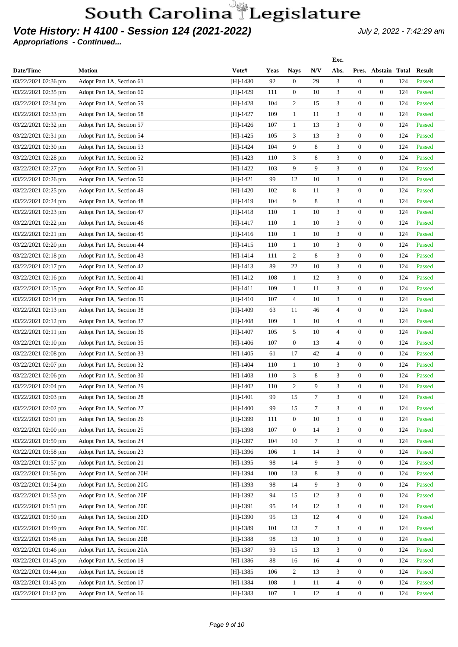### **Vote History: H 4100 - Session 124 (2021-2022)** July 2, 2022 - 7:42:29 am

|                       |                            |            |             |                  |        | Exc.           |                  |                     |     |               |
|-----------------------|----------------------------|------------|-------------|------------------|--------|----------------|------------------|---------------------|-----|---------------|
| Date/Time             | <b>Motion</b>              | Vote#      | <b>Yeas</b> | <b>Nays</b>      | N/V    | Abs.           |                  | Pres. Abstain Total |     | <b>Result</b> |
| 03/22/2021 02:36 pm   | Adopt Part 1A, Section 61  | $[H]-1430$ | 92          | $\overline{0}$   | 29     | 3              | $\mathbf{0}$     | $\overline{0}$      | 124 | Passed        |
| 03/22/2021 02:35 pm   | Adopt Part 1A, Section 60  | $[H]-1429$ | 111         | $\overline{0}$   | 10     | 3              | $\mathbf{0}$     | $\overline{0}$      | 124 | Passed        |
| 03/22/2021 02:34 pm   | Adopt Part 1A, Section 59  | [H]-1428   | 104         | $\overline{c}$   | 15     | 3              | $\overline{0}$   | $\overline{0}$      | 124 | Passed        |
| 03/22/2021 02:33 pm   | Adopt Part 1A, Section 58  | $[H]-1427$ | 109         | $\mathbf{1}$     | 11     | 3              | $\overline{0}$   | $\overline{0}$      | 124 | Passed        |
| 03/22/2021 02:32 pm   | Adopt Part 1A, Section 57  | $[H]-1426$ | 107         | $\mathbf{1}$     | 13     | 3              | $\overline{0}$   | $\overline{0}$      | 124 | Passed        |
| 03/22/2021 02:31 pm   | Adopt Part 1A, Section 54  | $[H]-1425$ | 105         | 3                | 13     | 3              | $\overline{0}$   | $\overline{0}$      | 124 | Passed        |
| 03/22/2021 02:30 pm   | Adopt Part 1A, Section 53  | $[H]-1424$ | 104         | 9                | 8      | 3              | $\overline{0}$   | $\overline{0}$      | 124 | Passed        |
| 03/22/2021 02:28 pm   | Adopt Part 1A, Section 52  | $[H]-1423$ | 110         | 3                | 8      | 3              | $\mathbf{0}$     | $\overline{0}$      | 124 | Passed        |
| 03/22/2021 02:27 pm   | Adopt Part 1A, Section 51  | $[H]-1422$ | 103         | 9                | 9      | 3              | $\overline{0}$   | $\overline{0}$      | 124 | Passed        |
| 03/22/2021 02:26 pm   | Adopt Part 1A, Section 50  | [H]-1421   | 99          | 12               | 10     | 3              | $\overline{0}$   | $\overline{0}$      | 124 | Passed        |
| 03/22/2021 02:25 pm   | Adopt Part 1A, Section 49  | [H]-1420   | 102         | 8                | 11     | 3              | $\overline{0}$   | $\overline{0}$      | 124 | Passed        |
| 03/22/2021 02:24 pm   | Adopt Part 1A, Section 48  | $[H]-1419$ | 104         | 9                | 8      | 3              | $\overline{0}$   | $\overline{0}$      | 124 | Passed        |
| 03/22/2021 02:23 pm   | Adopt Part 1A, Section 47  | $[H]-1418$ | 110         | $\mathbf{1}$     | 10     | 3              | $\overline{0}$   | $\overline{0}$      | 124 | Passed        |
| 03/22/2021 02:22 pm   | Adopt Part 1A, Section 46  | $[H]-1417$ | 110         | 1                | 10     | 3              | $\overline{0}$   | $\overline{0}$      | 124 | Passed        |
| 03/22/2021 02:21 pm   | Adopt Part 1A, Section 45  | [H]-1416   | 110         | $\mathbf{1}$     | 10     | 3              | $\overline{0}$   | $\overline{0}$      | 124 | Passed        |
| 03/22/2021 02:20 pm   | Adopt Part 1A, Section 44  | $[H]-1415$ | 110         | $\mathbf{1}$     | 10     | 3              | $\overline{0}$   | $\overline{0}$      | 124 | Passed        |
| 03/22/2021 02:18 pm   | Adopt Part 1A, Section 43  | $[H]-1414$ | 111         | $\overline{c}$   | 8      | 3              | $\overline{0}$   | $\overline{0}$      | 124 | Passed        |
| 03/22/2021 02:17 pm   | Adopt Part 1A, Section 42  | [H]-1413   | 89          | 22               | 10     | 3              | $\overline{0}$   | $\overline{0}$      | 124 | Passed        |
| $03/22/2021$ 02:16 pm | Adopt Part 1A, Section 41  | $[H]-1412$ | 108         | $\mathbf{1}$     | 12     | 3              | $\mathbf{0}$     | $\overline{0}$      | 124 | Passed        |
| 03/22/2021 02:15 pm   | Adopt Part 1A, Section 40  | $[H]-1411$ | 109         | 1                | 11     | 3              | $\overline{0}$   | $\overline{0}$      | 124 | Passed        |
| 03/22/2021 02:14 pm   | Adopt Part 1A, Section 39  | $[H]-1410$ | 107         | $\overline{4}$   | 10     | 3              | $\overline{0}$   | $\overline{0}$      | 124 | Passed        |
| 03/22/2021 02:13 pm   | Adopt Part 1A, Section 38  | $[H]-1409$ | 63          | 11               | 46     | $\overline{4}$ | $\overline{0}$   | $\overline{0}$      | 124 | Passed        |
| 03/22/2021 02:12 pm   | Adopt Part 1A, Section 37  | $[H]-1408$ | 109         | 1                | 10     | $\overline{4}$ | $\overline{0}$   | $\overline{0}$      | 124 | Passed        |
| 03/22/2021 02:11 pm   | Adopt Part 1A, Section 36  | $[H]-1407$ | 105         | 5                | 10     | 4              | $\overline{0}$   | $\overline{0}$      | 124 | Passed        |
| 03/22/2021 02:10 pm   | Adopt Part 1A, Section 35  | $[H]-1406$ | 107         | $\overline{0}$   | 13     | $\overline{4}$ | $\overline{0}$   | $\overline{0}$      | 124 | Passed        |
| 03/22/2021 02:08 pm   | Adopt Part 1A, Section 33  | [H]-1405   | 61          | 17               | 42     | 4              | $\overline{0}$   | $\overline{0}$      | 124 | Passed        |
| 03/22/2021 02:07 pm   | Adopt Part 1A, Section 32  | $[H]-1404$ | 110         | $\mathbf{1}$     | 10     | 3              | $\overline{0}$   | $\overline{0}$      | 124 | Passed        |
| 03/22/2021 02:06 pm   | Adopt Part 1A, Section 30  | $[H]-1403$ | 110         | 3                | 8      | 3              | $\overline{0}$   | $\overline{0}$      | 124 | Passed        |
| 03/22/2021 02:04 pm   | Adopt Part 1A, Section 29  | $[H]-1402$ | 110         | 2                | 9      | $\mathfrak{Z}$ | $\overline{0}$   | $\overline{0}$      | 124 | Passed        |
| 03/22/2021 02:03 pm   | Adopt Part 1A, Section 28  | [H]-1401   | 99          | 15               | $\tau$ | 3              | $\overline{0}$   | $\mathbf{0}$        | 124 | Passed        |
| 03/22/2021 02:02 pm   | Adopt Part 1A, Section 27  | $[H]-1400$ | 99          | 15               | $\tau$ | 3              | $\mathbf{0}$     | $\overline{0}$      | 124 | Passed        |
| 03/22/2021 02:01 pm   | Adopt Part 1A, Section 26  | $[H]-1399$ | 111         | $\boldsymbol{0}$ | 10     | 3              | $\mathbf{0}$     | $\boldsymbol{0}$    | 124 | Passed        |
| 03/22/2021 02:00 pm   | Adopt Part 1A, Section 25  | $[H]-1398$ | 107         | $\boldsymbol{0}$ | 14     | 3              | $\boldsymbol{0}$ | $\overline{0}$      | 124 | Passed        |
| 03/22/2021 01:59 pm   | Adopt Part 1A, Section 24  | $[H]-1397$ | 104         | 10               | $\tau$ | 3              | $\mathbf{0}$     | $\overline{0}$      | 124 | Passed        |
| 03/22/2021 01:58 pm   | Adopt Part 1A, Section 23  | $[H]-1396$ | 106         | $\mathbf{1}$     | 14     | 3              | $\boldsymbol{0}$ | $\overline{0}$      | 124 | Passed        |
| 03/22/2021 01:57 pm   | Adopt Part 1A, Section 21  | $[H]-1395$ | 98          | 14               | 9      | 3              | $\boldsymbol{0}$ | $\overline{0}$      | 124 | Passed        |
| 03/22/2021 01:56 pm   | Adopt Part 1A, Section 20H | $[H]-1394$ | 100         | 13               | 8      | 3              | $\mathbf{0}$     | $\overline{0}$      | 124 | Passed        |
| 03/22/2021 01:54 pm   | Adopt Part 1A, Section 20G | $[H]-1393$ | 98          | 14               | 9      | 3              | $\mathbf{0}$     | $\overline{0}$      | 124 | Passed        |
| 03/22/2021 01:53 pm   | Adopt Part 1A, Section 20F | $[H]-1392$ | 94          | 15               | 12     | 3              | $\boldsymbol{0}$ | $\overline{0}$      | 124 | Passed        |
| 03/22/2021 01:51 pm   | Adopt Part 1A, Section 20E | $[H]-1391$ | 95          | 14               | 12     | 3              | $\mathbf{0}$     | $\overline{0}$      | 124 | Passed        |
| 03/22/2021 01:50 pm   | Adopt Part 1A, Section 20D | $[H]-1390$ | 95          | 13               | 12     | $\overline{4}$ | $\mathbf{0}$     | $\overline{0}$      | 124 | Passed        |
| 03/22/2021 01:49 pm   | Adopt Part 1A, Section 20C | $[H]-1389$ | 101         | 13               | $\tau$ | 3              | $\mathbf{0}$     | $\overline{0}$      | 124 | Passed        |
|                       |                            |            |             |                  |        |                |                  |                     |     |               |
| 03/22/2021 01:48 pm   | Adopt Part 1A, Section 20B | $[H]-1388$ | 98          | 13               | 10     | 3              | $\mathbf{0}$     | $\overline{0}$      | 124 | Passed        |
| 03/22/2021 01:46 pm   | Adopt Part 1A, Section 20A | $[H]-1387$ | 93          | 15               | 13     | 3              | $\mathbf{0}$     | $\overline{0}$      | 124 | Passed        |
| 03/22/2021 01:45 pm   | Adopt Part 1A, Section 19  | $[H]-1386$ | 88          | 16               | 16     | $\overline{4}$ | $\mathbf{0}$     | $\overline{0}$      | 124 | Passed        |
| 03/22/2021 01:44 pm   | Adopt Part 1A, Section 18  | $[H]-1385$ | 106         | $\overline{2}$   | 13     | 3              | $\mathbf{0}$     | $\overline{0}$      | 124 | Passed        |
| 03/22/2021 01:43 pm   | Adopt Part 1A, Section 17  | $[H]-1384$ | 108         | $\mathbf{1}$     | 11     | $\overline{4}$ | $\boldsymbol{0}$ | $\overline{0}$      | 124 | Passed        |
| 03/22/2021 01:42 pm   | Adopt Part 1A, Section 16  | $[H]-1383$ | 107         | $\mathbf{1}$     | 12     | $\overline{4}$ | $\boldsymbol{0}$ | $\overline{0}$      | 124 | Passed        |